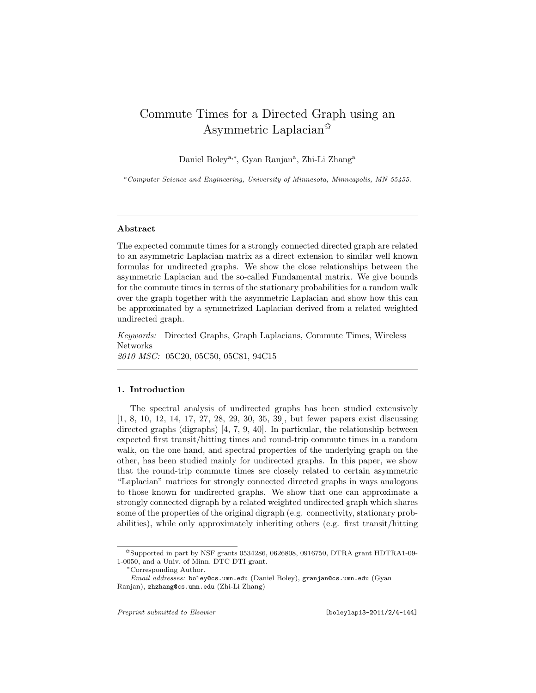# Commute Times for a Directed Graph using an Asymmetric Laplacian<sup> $\mathbb{X}$ </sup>

Daniel Boley<sup>a,∗</sup>, Gyan Ranjan<sup>a</sup>, Zhi-Li Zhang<sup>a</sup>

<sup>a</sup>*Computer Science and Engineering, University of Minnesota, Minneapolis, MN 55455.*

# Abstract

The expected commute times for a strongly connected directed graph are related to an asymmetric Laplacian matrix as a direct extension to similar well known formulas for undirected graphs. We show the close relationships between the asymmetric Laplacian and the so-called Fundamental matrix. We give bounds for the commute times in terms of the stationary probabilities for a random walk over the graph together with the asymmetric Laplacian and show how this can be approximated by a symmetrized Laplacian derived from a related weighted undirected graph.

Keywords: Directed Graphs, Graph Laplacians, Commute Times, Wireless Networks 2010 MSC: 05C20, 05C50, 05C81, 94C15

# 1. Introduction

The spectral analysis of undirected graphs has been studied extensively [1, 8, 10, 12, 14, 17, 27, 28, 29, 30, 35, 39], but fewer papers exist discussing directed graphs (digraphs) [4, 7, 9, 40]. In particular, the relationship between expected first transit/hitting times and round-trip commute times in a random walk, on the one hand, and spectral properties of the underlying graph on the other, has been studied mainly for undirected graphs. In this paper, we show that the round-trip commute times are closely related to certain asymmetric "Laplacian" matrices for strongly connected directed graphs in ways analogous to those known for undirected graphs. We show that one can approximate a strongly connected digraph by a related weighted undirected graph which shares some of the properties of the original digraph (e.g. connectivity, stationary probabilities), while only approximately inheriting others (e.g. first transit/hitting

<sup>✩</sup>Supported in part by NSF grants 0534286, 0626808, 0916750, DTRA grant HDTRA1-09- 1-0050, and a Univ. of Minn. DTC DTI grant.

<sup>∗</sup>Corresponding Author.

*Email addresses:* boley@cs.umn.edu (Daniel Boley), granjan@cs.umn.edu (Gyan Ranjan), zhzhang@cs.umn.edu (Zhi-Li Zhang)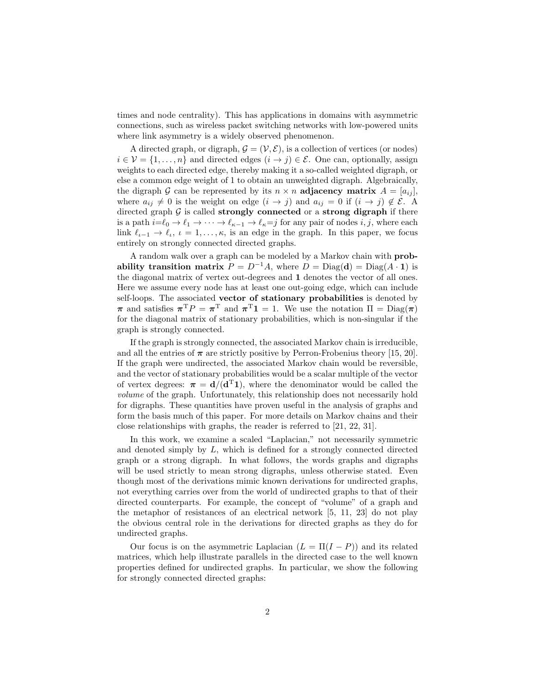times and node centrality). This has applications in domains with asymmetric connections, such as wireless packet switching networks with low-powered units where link asymmetry is a widely observed phenomenon.

A directed graph, or digraph,  $\mathcal{G} = (\mathcal{V}, \mathcal{E})$ , is a collection of vertices (or nodes)  $i \in \mathcal{V} = \{1, \ldots, n\}$  and directed edges  $(i \to j) \in \mathcal{E}$ . One can, optionally, assign weights to each directed edge, thereby making it a so-called weighted digraph, or else a common edge weight of 1 to obtain an unweighted digraph. Algebraically, the digraph G can be represented by its  $n \times n$  adjacency matrix  $A = [a_{ij}]$ , where  $a_{ij} \neq 0$  is the weight on edge  $(i \rightarrow j)$  and  $a_{ij} = 0$  if  $(i \rightarrow j) \notin \mathcal{E}$ . A directed graph  $G$  is called strongly connected or a strong digraph if there is a path  $i=\ell_0 \to \ell_1 \to \cdots \to \ell_{\kappa-1} \to \ell_{\kappa}=j$  for any pair of nodes  $i, j$ , where each link  $\ell_{\iota-1} \to \ell_{\iota}, \, \iota = 1, \ldots, \kappa$ , is an edge in the graph. In this paper, we focus entirely on strongly connected directed graphs.

A random walk over a graph can be modeled by a Markov chain with probability transition matrix  $P = D^{-1}A$ , where  $D = Diag(\mathbf{d}) = Diag(A \cdot \mathbf{1})$  is the diagonal matrix of vertex out-degrees and 1 denotes the vector of all ones. Here we assume every node has at least one out-going edge, which can include self-loops. The associated vector of stationary probabilities is denoted by  $\pi$  and satisfies  $\pi^T P = \pi^T$  and  $\pi^T \mathbf{1} = 1$ . We use the notation  $\Pi = \text{Diag}(\pi)$ for the diagonal matrix of stationary probabilities, which is non-singular if the graph is strongly connected.

If the graph is strongly connected, the associated Markov chain is irreducible, and all the entries of  $\pi$  are strictly positive by Perron-Frobenius theory [15, 20]. If the graph were undirected, the associated Markov chain would be reversible, and the vector of stationary probabilities would be a scalar multiple of the vector of vertex degrees:  $\pi = d/(d^T 1)$ , where the denominator would be called the volume of the graph. Unfortunately, this relationship does not necessarily hold for digraphs. These quantities have proven useful in the analysis of graphs and form the basis much of this paper. For more details on Markov chains and their close relationships with graphs, the reader is referred to [21, 22, 31].

In this work, we examine a scaled "Laplacian," not necessarily symmetric and denoted simply by L, which is defined for a strongly connected directed graph or a strong digraph. In what follows, the words graphs and digraphs will be used strictly to mean strong digraphs, unless otherwise stated. Even though most of the derivations mimic known derivations for undirected graphs, not everything carries over from the world of undirected graphs to that of their directed counterparts. For example, the concept of "volume" of a graph and the metaphor of resistances of an electrical network [5, 11, 23] do not play the obvious central role in the derivations for directed graphs as they do for undirected graphs.

Our focus is on the asymmetric Laplacian  $(L = \Pi(I - P))$  and its related matrices, which help illustrate parallels in the directed case to the well known properties defined for undirected graphs. In particular, we show the following for strongly connected directed graphs: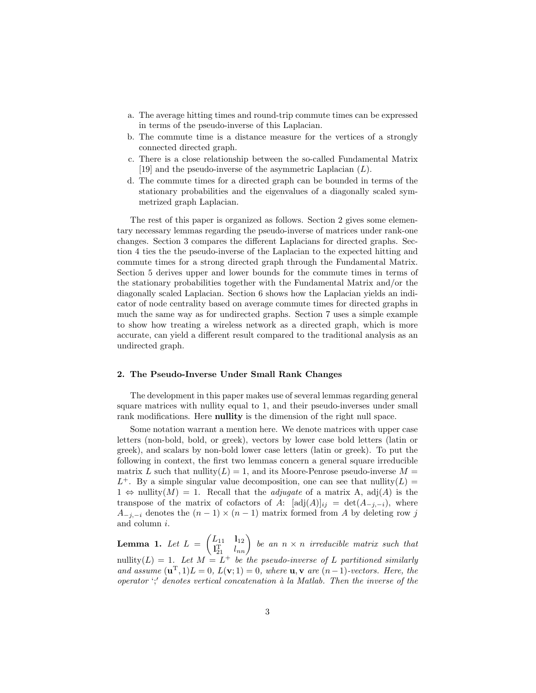- a. The average hitting times and round-trip commute times can be expressed in terms of the pseudo-inverse of this Laplacian.
- b. The commute time is a distance measure for the vertices of a strongly connected directed graph.
- c. There is a close relationship between the so-called Fundamental Matrix [19] and the pseudo-inverse of the asymmetric Laplacian  $(L)$ .
- d. The commute times for a directed graph can be bounded in terms of the stationary probabilities and the eigenvalues of a diagonally scaled symmetrized graph Laplacian.

The rest of this paper is organized as follows. Section 2 gives some elementary necessary lemmas regarding the pseudo-inverse of matrices under rank-one changes. Section 3 compares the different Laplacians for directed graphs. Section 4 ties the the pseudo-inverse of the Laplacian to the expected hitting and commute times for a strong directed graph through the Fundamental Matrix. Section 5 derives upper and lower bounds for the commute times in terms of the stationary probabilities together with the Fundamental Matrix and/or the diagonally scaled Laplacian. Section 6 shows how the Laplacian yields an indicator of node centrality based on average commute times for directed graphs in much the same way as for undirected graphs. Section 7 uses a simple example to show how treating a wireless network as a directed graph, which is more accurate, can yield a different result compared to the traditional analysis as an undirected graph.

#### 2. The Pseudo-Inverse Under Small Rank Changes

The development in this paper makes use of several lemmas regarding general square matrices with nullity equal to 1, and their pseudo-inverses under small rank modifications. Here **nullity** is the dimension of the right null space.

Some notation warrant a mention here. We denote matrices with upper case letters (non-bold, bold, or greek), vectors by lower case bold letters (latin or greek), and scalars by non-bold lower case letters (latin or greek). To put the following in context, the first two lemmas concern a general square irreducible matrix L such that nullity( $L$ ) = 1, and its Moore-Penrose pseudo-inverse  $M =$  $L^+$ . By a simple singular value decomposition, one can see that nullity( $L$ ) =  $1 \Leftrightarrow \text{nullity}(M) = 1$ . Recall that the *adjugate* of a matrix A, adj(A) is the transpose of the matrix of cofactors of A:  $[\text{adj}(A)]_{ij} = \det(A_{-i,-i}),$  where  $A_{-j,-i}$  denotes the  $(n-1) \times (n-1)$  matrix formed from A by deleting row j and column i.

**Lemma 1.** Let  $L =$  $(L_{11} \quad l_{12})$  $\begin{pmatrix} L_{11} & l_{12} \ l_{11}^{\mathrm{T}} & l_{nn} \end{pmatrix}$  be an  $n \times n$  irreducible matrix such that nullity( $L$ ) = 1. Let  $M = L^+$  be the pseudo-inverse of L partitioned similarly and assume  $(\mathbf{u}^T, 1)L = 0$ ,  $L(\mathbf{v}; 1) = 0$ , where  $\mathbf{u}, \mathbf{v}$  are  $(n-1)$ -vectors. Here, the operator  $\cdot$ ;' denotes vertical concatenation à la Matlab. Then the inverse of the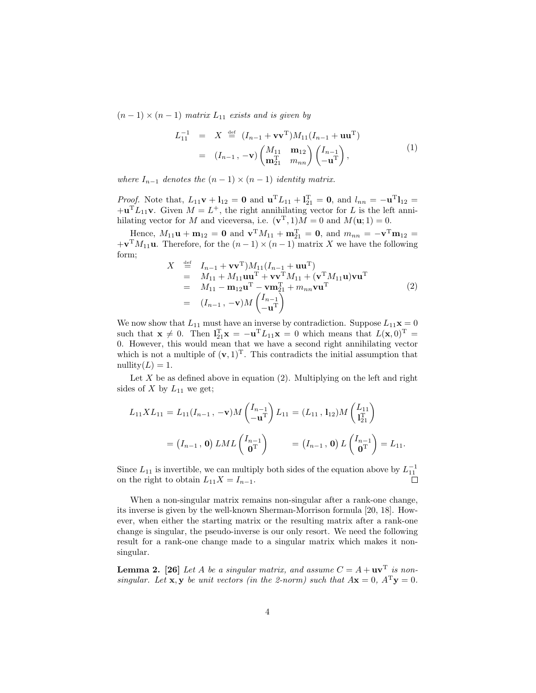$(n-1) \times (n-1)$  matrix  $L_{11}$  exists and is given by

$$
L_{11}^{-1} = X \stackrel{\text{def}}{=} (I_{n-1} + \mathbf{v}\mathbf{v}^{\mathrm{T}})M_{11}(I_{n-1} + \mathbf{u}\mathbf{u}^{\mathrm{T}})
$$
  

$$
= (I_{n-1}, -\mathbf{v})\begin{pmatrix} M_{11} & \mathbf{m}_{12} \\ \mathbf{m}_{21}^{\mathrm{T}} & m_{nn} \end{pmatrix} \begin{pmatrix} I_{n-1} \\ -\mathbf{u}^{\mathrm{T}} \end{pmatrix},
$$
 (1)

where  $I_{n-1}$  denotes the  $(n-1) \times (n-1)$  identity matrix.

*Proof.* Note that,  $L_{11}v + l_{12} = 0$  and  $u^T L_{11} + l_{21}^T = 0$ , and  $l_{nn} = -u^T l_{12} =$  $+\mathbf{u}^T L_{11} \mathbf{v}$ . Given  $M = L^+$ , the right annihilating vector for L is the left annihilating vector for M and viceversa, i.e.  $(\mathbf{v}^T, 1)M = 0$  and  $M(\mathbf{u}; 1) = 0$ .

Hence,  $M_{11} \mathbf{u} + \mathbf{m}_{12} = \mathbf{0}$  and  $\mathbf{v}^{\mathrm{T}} M_{11} + \mathbf{m}_{21}^{\mathrm{T}} = \mathbf{0}$ , and  $m_{nn} = -\mathbf{v}^{\mathrm{T}} \mathbf{m}_{12} =$  $+\mathbf{v}^{\mathrm{T}}M_{11}\mathbf{u}$ . Therefore, for the  $(n-1)\times(n-1)$  matrix X we have the following form;

$$
X \stackrel{\text{def}}{=} I_{n-1} + \mathbf{v}\mathbf{v}^{T})M_{11}(I_{n-1} + \mathbf{u}\mathbf{u}^{T})
$$
  
\n
$$
= M_{11} + M_{11}\mathbf{u}\mathbf{u}^{T} + \mathbf{v}\mathbf{v}^{T}M_{11} + (\mathbf{v}^{T}M_{11}\mathbf{u})\mathbf{v}\mathbf{u}^{T}
$$
  
\n
$$
= M_{11} - \mathbf{m}_{12}\mathbf{u}^{T} - \mathbf{v}\mathbf{m}_{21}^{T} + m_{nn}\mathbf{v}\mathbf{u}^{T}
$$
  
\n
$$
= (I_{n-1}, -\mathbf{v})M\begin{pmatrix} I_{n-1} \\ -\mathbf{u}^{T} \end{pmatrix}
$$
 (2)

We now show that  $L_{11}$  must have an inverse by contradiction. Suppose  $L_{11}\mathbf{x} = 0$ such that  $\mathbf{x} \neq 0$ . Then  $\mathbf{l}_{21}^{\mathrm{T}} \mathbf{x} = -\mathbf{u}^{\mathrm{T}} L_{11} \mathbf{x} = 0$  which means that  $L(\mathbf{x}, 0)^{\mathrm{T}} =$ 0. However, this would mean that we have a second right annihilating vector which is not a multiple of  $(v, 1)^T$ . This contradicts the initial assumption that nullity $(L) = 1$ .

Let X be as defined above in equation  $(2)$ . Multiplying on the left and right sides of  $X$  by  $L_{11}$  we get;

$$
L_{11}XL_{11} = L_{11}(I_{n-1}, -\mathbf{v})M\begin{pmatrix} I_{n-1} \\ -\mathbf{u}^{T} \end{pmatrix}L_{11} = (L_{11}, 1_{12})M\begin{pmatrix} L_{11} \\ I_{21}^{T} \end{pmatrix}
$$
  
=  $(I_{n-1}, \mathbf{0}) LML\begin{pmatrix} I_{n-1} \\ \mathbf{0}^{T} \end{pmatrix} = (I_{n-1}, \mathbf{0}) L\begin{pmatrix} I_{n-1} \\ \mathbf{0}^{T} \end{pmatrix} = L_{11}.$ 

Since  $L_{11}$  is invertible, we can multiply both sides of the equation above by  $L_{11}^{-1}$ on the right to obtain  $L_{11}X = I_{n-1}$ .

When a non-singular matrix remains non-singular after a rank-one change, its inverse is given by the well-known Sherman-Morrison formula [20, 18]. However, when either the starting matrix or the resulting matrix after a rank-one change is singular, the pseudo-inverse is our only resort. We need the following result for a rank-one change made to a singular matrix which makes it nonsingular.

**Lemma 2.** [26] Let A be a singular matrix, and assume  $C = A + uv^T$  is nonsingular. Let **x**, y be unit vectors (in the 2-norm) such that  $A\mathbf{x} = 0$ ,  $A^T\mathbf{y} = 0$ .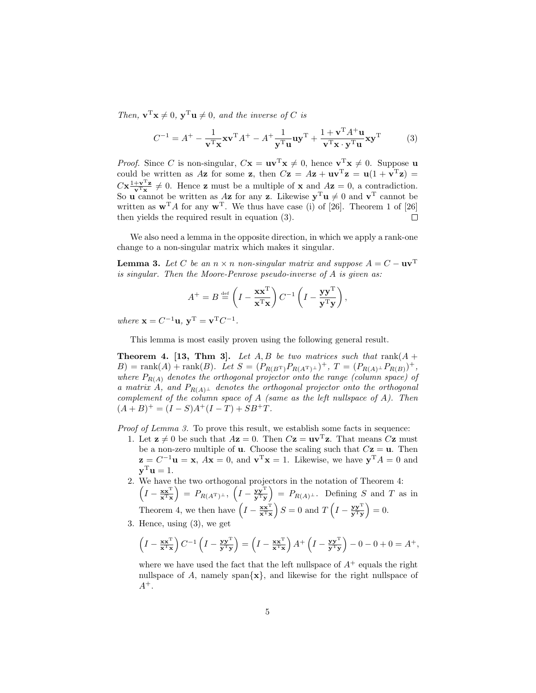Then,  $\mathbf{v}^{\mathrm{T}}\mathbf{x} \neq 0$ ,  $\mathbf{y}^{\mathrm{T}}\mathbf{u} \neq 0$ , and the inverse of C is

$$
C^{-1} = A^{+} - \frac{1}{\mathbf{v}^{\mathrm{T}} \mathbf{x}} \mathbf{v}^{\mathrm{T}} A^{+} - A^{+} \frac{1}{\mathbf{y}^{\mathrm{T}} \mathbf{u}} \mathbf{u} \mathbf{y}^{\mathrm{T}} + \frac{1 + \mathbf{v}^{\mathrm{T}} A^{+} \mathbf{u}}{\mathbf{v}^{\mathrm{T}} \mathbf{x} \cdot \mathbf{y}^{\mathrm{T}} \mathbf{u}} \mathbf{x} \mathbf{y}^{\mathrm{T}} \tag{3}
$$

*Proof.* Since C is non-singular,  $C\mathbf{x} = \mathbf{u}\mathbf{v}^T\mathbf{x} \neq 0$ , hence  $\mathbf{v}^T\mathbf{x} \neq 0$ . Suppose  $\mathbf{u}$ could be written as Az for some z, then  $C\mathbf{z} = A\mathbf{z} + \mathbf{u}\mathbf{v}^{\mathrm{T}}\mathbf{z} = \mathbf{u}(1 + \mathbf{v}^{\mathrm{T}}\mathbf{z}) =$  $C\mathbf{x} \frac{1+\mathbf{v}^T\mathbf{z}}{\mathbf{v}^T\mathbf{x}} \neq 0$ . Hence **z** must be a multiple of **x** and  $A\mathbf{z} = 0$ , a contradiction. So **u** cannot be written as  $A\mathbf{z}$  for any **z**. Likewise  $\mathbf{y}^T\mathbf{u} \neq 0$  and  $\mathbf{v}^T$  cannot be written as  $\mathbf{w}^T A$  for any  $\mathbf{w}^T$ . We thus have case (i) of [26]. Theorem 1 of [26] then yields the required result in equation (3).  $\Box$ 

We also need a lemma in the opposite direction, in which we apply a rank-one change to a non-singular matrix which makes it singular.

**Lemma 3.** Let C be an  $n \times n$  non-singular matrix and suppose  $A = C - uv^T$ is singular. Then the Moore-Penrose pseudo-inverse of A is given as:

$$
A^{+} = B \stackrel{\text{def}}{=} \left(I - \frac{\mathbf{x} \mathbf{x}^{\mathrm{T}}}{\mathbf{x}^{\mathrm{T}} \mathbf{x}}\right) C^{-1} \left(I - \frac{\mathbf{y} \mathbf{y}^{\mathrm{T}}}{\mathbf{y}^{\mathrm{T}} \mathbf{y}}\right),
$$

where  $\mathbf{x} = C^{-1}\mathbf{u}$ ,  $\mathbf{y}^{\mathrm{T}} = \mathbf{v}^{\mathrm{T}} C^{-1}$ .

This lemma is most easily proven using the following general result.

**Theorem 4. [13, Thm 3].** Let  $A, B$  be two matrices such that  $rank(A +$ B) = rank $(A)$  + rank $(B)$ . Let  $S = (P_{R(B^T)}P_{R(A^T)^{\perp}})^+$ ,  $T = (P_{R(A)^{\perp}}P_{R(B)})^+$ , where  $P_{R(A)}$  denotes the orthogonal projector onto the range (column space) of a matrix A, and  $P_{R(A)^{\perp}}$  denotes the orthogonal projector onto the orthogonal complement of the column space of  $A$  (same as the left nullspace of  $A$ ). Then  $(A + B)^{+} = (I - S)A^{+}(I - T) + SB^{+}T.$ 

Proof of Lemma 3. To prove this result, we establish some facts in sequence:

- 1. Let  $z \neq 0$  be such that  $Az = 0$ . Then  $Cz = uv^Tz$ . That means  $Cz$  must be a non-zero multiple of **u**. Choose the scaling such that  $C\mathbf{z} = \mathbf{u}$ . Then  $\mathbf{z} = C^{-1} \mathbf{u} = \mathbf{x}, A\mathbf{x} = 0$ , and  $\mathbf{v}^{\mathrm{T}} \mathbf{x} = 1$ . Likewise, we have  $\mathbf{y}^{\mathrm{T}} A = 0$  and  $y^{\mathrm{T}}u=1.$
- 2. We have the two orthogonal projectors in the notation of Theorem 4:  $\left(I - \frac{\mathbf{x} \mathbf{x}^{\mathrm{T}}}{\mathbf{x}^{\mathrm{T}} \mathbf{x}}\right)$  $= P_{R(A^{\texttt{T}})^{\perp}}, \; \left(I - \frac{\mathbf{y}\mathbf{y}^{\texttt{T}}}{\mathbf{y}^{\texttt{T}}\mathbf{y}}\right)$  $= P_{R(A)^{\perp}}$ . Defining S and T as in Theorem 4, we then have  $\left(I - \frac{\mathbf{x} \mathbf{x}^{\mathrm{T}}}{\mathbf{x}^{\mathrm{T}} \mathbf{x}}\right)$  $S = 0$  and  $T\left(I - \frac{yy^{T}}{y^{T}y}\right)$  $= 0.$
- 3. Hence, using (3), we get

$$
\left(I - \frac{\mathbf{x} \mathbf{x}^{\mathrm{T}}}{\mathbf{x}^{\mathrm{T}} \mathbf{x}}\right) C^{-1} \left(I - \frac{\mathbf{y} \mathbf{y}^{\mathrm{T}}}{\mathbf{y}^{\mathrm{T}} \mathbf{y}}\right) = \left(I - \frac{\mathbf{x} \mathbf{x}^{\mathrm{T}}}{\mathbf{x}^{\mathrm{T}} \mathbf{x}}\right) A^{+} \left(I - \frac{\mathbf{y} \mathbf{y}^{\mathrm{T}}}{\mathbf{y}^{\mathrm{T}} \mathbf{y}}\right) - 0 - 0 + 0 = A^{+},
$$

where we have used the fact that the left nullspace of  $A^+$  equals the right nullspace of A, namely span $\{x\}$ , and likewise for the right nullspace of  $A^+$ .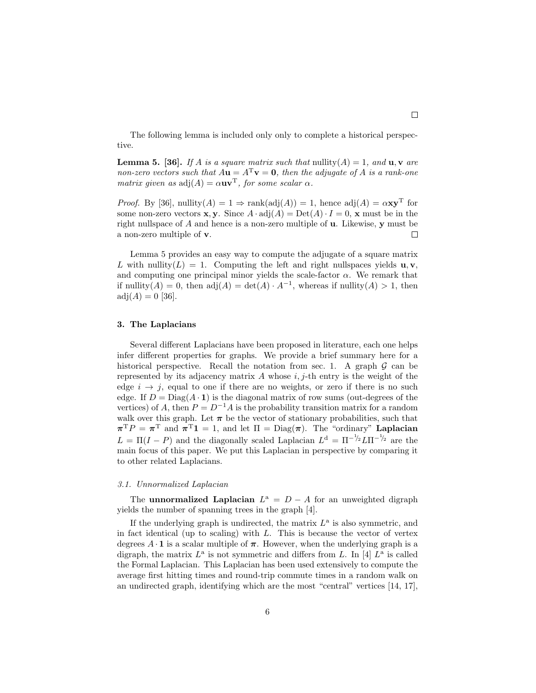The following lemma is included only only to complete a historical perspective.

**Lemma 5.** [36]. If A is a square matrix such that nullity(A) = 1, and  $\mathbf{u}, \mathbf{v}$  are non-zero vectors such that  $A\mathbf{u} = A^T\mathbf{v} = \mathbf{0}$ , then the adjugate of A is a rank-one matrix given as  $adj(A) = \alpha uv^T$ , for some scalar  $\alpha$ .

*Proof.* By [36], nullity(A) = 1  $\Rightarrow$  rank(adj(A)) = 1, hence adj(A) =  $\alpha$ **xy**<sup>T</sup> for some non-zero vectors **x**, **y**. Since  $A \cdot \text{adj}(A) = \text{Det}(A) \cdot I = 0$ , **x** must be in the right nullspace of  $A$  and hence is a non-zero multiple of  $\bf{u}$ . Likewise,  $\bf{y}$  must be a non-zero multiple of v.  $\Box$ 

Lemma 5 provides an easy way to compute the adjugate of a square matrix L with nullity(L) = 1. Computing the left and right nullspaces yields  $\mathbf{u}, \mathbf{v}$ , and computing one principal minor yields the scale-factor  $\alpha$ . We remark that if  $\text{nullity}(A) = 0$ , then  $\text{adj}(A) = \text{det}(A) \cdot A^{-1}$ , whereas if  $\text{nullity}(A) > 1$ , then  $adj(A) = 0$  [36].

#### 3. The Laplacians

Several different Laplacians have been proposed in literature, each one helps infer different properties for graphs. We provide a brief summary here for a historical perspective. Recall the notation from sec. 1. A graph  $\mathcal G$  can be represented by its adjacency matrix A whose  $i$ ,  $j$ -th entry is the weight of the edge  $i \rightarrow j$ , equal to one if there are no weights, or zero if there is no such edge. If  $D = Diag(A \cdot 1)$  is the diagonal matrix of row sums (out-degrees of the vertices) of A, then  $P = D^{-1}A$  is the probability transition matrix for a random walk over this graph. Let  $\pi$  be the vector of stationary probabilities, such that  $\pi^T P = \pi^T$  and  $\pi^T \mathbf{1} = 1$ , and let  $\Pi = \text{Diag}(\pi)$ . The "ordinary" Laplacian  $L = \Pi(I - P)$  and the diagonally scaled Laplacian  $L<sup>d</sup> = \Pi^{-1/2} L \Pi^{-1/2}$  are the main focus of this paper. We put this Laplacian in perspective by comparing it to other related Laplacians.

#### 3.1. Unnormalized Laplacian

The **unnormalized Laplacian**  $L^{\mathsf{a}} = D - A$  for an unweighted digraph yields the number of spanning trees in the graph [4].

If the underlying graph is undirected, the matrix  $L<sup>a</sup>$  is also symmetric, and in fact identical (up to scaling) with  $L$ . This is because the vector of vertex degrees  $A \cdot \mathbf{1}$  is a scalar multiple of  $\pi$ . However, when the underlying graph is a digraph, the matrix  $L^{\mathsf{a}}$  is not symmetric and differs from L. In [4]  $L^{\mathsf{a}}$  is called the Formal Laplacian. This Laplacian has been used extensively to compute the average first hitting times and round-trip commute times in a random walk on an undirected graph, identifying which are the most "central" vertices [14, 17],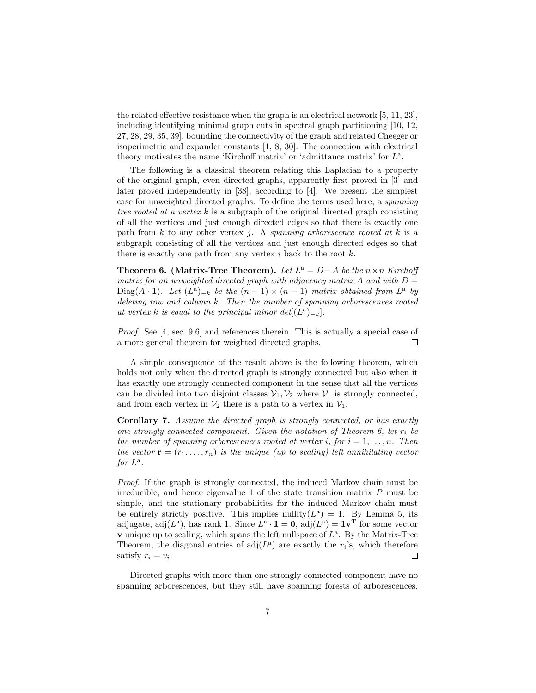the related effective resistance when the graph is an electrical network [5, 11, 23], including identifying minimal graph cuts in spectral graph partitioning [10, 12, 27, 28, 29, 35, 39], bounding the connectivity of the graph and related Cheeger or isoperimetric and expander constants [1, 8, 30]. The connection with electrical theory motivates the name 'Kirchoff matrix' or 'admittance matrix' for  $L^a$ .

The following is a classical theorem relating this Laplacian to a property of the original graph, even directed graphs, apparently first proved in [3] and later proved independently in [38], according to [4]. We present the simplest case for unweighted directed graphs. To define the terms used here, a spanning tree rooted at a vertex k is a subgraph of the original directed graph consisting of all the vertices and just enough directed edges so that there is exactly one path from k to any other vertex j. A spanning arborescence rooted at k is a subgraph consisting of all the vertices and just enough directed edges so that there is exactly one path from any vertex  $i$  back to the root  $k$ .

**Theorem 6.** (Matrix-Tree Theorem). Let  $L^a = D - A$  be the  $n \times n$  Kirchoff matrix for an unweighted directed graph with adjacency matrix A and with  $D =$ Diag(A · 1). Let  $(L^a)_{-k}$  be the  $(n-1) \times (n-1)$  matrix obtained from  $L^a$  by deleting row and column k. Then the number of spanning arborescences rooted at vertex k is equal to the principal minor  $det[(L^a)_{-k}]$ .

Proof. See [4, sec. 9.6] and references therein. This is actually a special case of a more general theorem for weighted directed graphs.  $\Box$ 

A simple consequence of the result above is the following theorem, which holds not only when the directed graph is strongly connected but also when it has exactly one strongly connected component in the sense that all the vertices can be divided into two disjoint classes  $V_1, V_2$  where  $V_1$  is strongly connected, and from each vertex in  $\mathcal{V}_2$  there is a path to a vertex in  $\mathcal{V}_1$ .

Corollary 7. Assume the directed graph is strongly connected, or has exactly one strongly connected component. Given the notation of Theorem 6, let  $r_i$  be the number of spanning arborescences rooted at vertex i, for  $i = 1, \ldots, n$ . Then the vector  $\mathbf{r} = (r_1, \ldots, r_n)$  is the unique (up to scaling) left annihilating vector for  $L^{\mathbf{a}}$ .

Proof. If the graph is strongly connected, the induced Markov chain must be irreducible, and hence eigenvalue 1 of the state transition matrix  $P$  must be simple, and the stationary probabilities for the induced Markov chain must be entirely strictly positive. This implies nullity( $L^{\mathbf{a}}$ ) = 1. By Lemma 5, its adjugate, adj $(L^{\mathbf{a}})$ , has rank 1. Since  $L^{\mathbf{a}} \cdot \mathbf{1} = \mathbf{0}$ , adj $(L^{\mathbf{a}}) = \mathbf{1} \mathbf{v}^{\mathrm{T}}$  for some vector  **unique up to scaling, which spans the left nullspace of**  $L^{\mathbf{a}}$ **. By the Matrix-Tree** Theorem, the diagonal entries of  $adj(L^a)$  are exactly the  $r_i$ 's, which therefore satisfy  $r_i = v_i$ .  $\Box$ 

Directed graphs with more than one strongly connected component have no spanning arborescences, but they still have spanning forests of arborescences,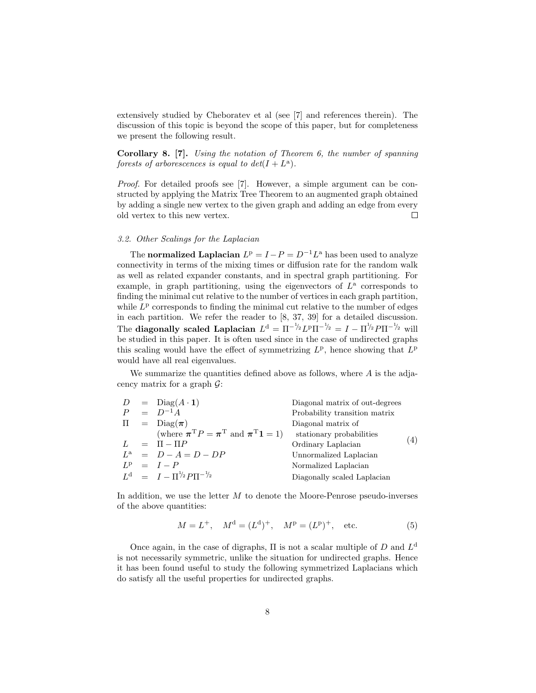extensively studied by Cheboratev et al (see [7] and references therein). The discussion of this topic is beyond the scope of this paper, but for completeness we present the following result.

Corollary 8. [7]. Using the notation of Theorem 6, the number of spanning forests of arborescences is equal to  $det(I + L^{\alpha})$ .

Proof. For detailed proofs see [7]. However, a simple argument can be constructed by applying the Matrix Tree Theorem to an augmented graph obtained by adding a single new vertex to the given graph and adding an edge from every old vertex to this new vertex.  $\Box$ 

## 3.2. Other Scalings for the Laplacian

The **normalized Laplacian**  $L^p = I - P = D^{-1}L^a$  has been used to analyze connectivity in terms of the mixing times or diffusion rate for the random walk as well as related expander constants, and in spectral graph partitioning. For example, in graph partitioning, using the eigenvectors of  $L^{\mathsf{a}}$  corresponds to finding the minimal cut relative to the number of vertices in each graph partition, while  $L<sup>p</sup>$  corresponds to finding the minimal cut relative to the number of edges in each partition. We refer the reader to [8, 37, 39] for a detailed discussion. The diagonally scaled Laplacian  $L^d = \Pi^{-1/2} L^p \Pi^{-1/2} = I - \Pi^{1/2} P \Pi^{-1/2}$  will be studied in this paper. It is often used since in the case of undirected graphs this scaling would have the effect of symmetrizing  $L^p$ , hence showing that  $L^p$ would have all real eigenvalues.

We summarize the quantities defined above as follows, where  $A$  is the adjacency matrix for a graph  $\mathcal{G}$ :

|  | $D = \text{Diag}(A \cdot 1)$                                                                                                      | Diagonal matrix of out-degrees |     |
|--|-----------------------------------------------------------------------------------------------------------------------------------|--------------------------------|-----|
|  | $P = D^{-1}A$                                                                                                                     | Probability transition matrix  |     |
|  | $\Pi = \text{Diag}(\pi)$                                                                                                          | Diagonal matrix of             |     |
|  | (where $\boldsymbol{\pi}^{\mathrm{T}} P = \boldsymbol{\pi}^{\mathrm{T}}$ and $\boldsymbol{\pi}^{\mathrm{T}} \boldsymbol{1} = 1$ ) | stationary probabilities       |     |
|  | $L = \Pi - \Pi P$                                                                                                                 | Ordinary Laplacian             | (4) |
|  | $L^{\rm a}$ = $D-A=D-DP$                                                                                                          | Unnormalized Laplacian         |     |
|  | $L^{\rm p} = I - P$                                                                                                               | Normalized Laplacian           |     |
|  | $L^d = I - \prod^{\frac{1}{2}} P \prod^{-\frac{1}{2}}$                                                                            | Diagonally scaled Laplacian    |     |
|  |                                                                                                                                   |                                |     |

In addition, we use the letter  $M$  to denote the Moore-Penrose pseudo-inverses of the above quantities:

$$
M = L^{+}
$$
,  $M^{d} = (L^{d})^{+}$ ,  $M^{p} = (L^{p})^{+}$ , etc. (5)

Once again, in the case of digraphs,  $\Pi$  is not a scalar multiple of  $D$  and  $L^d$ is not necessarily symmetric, unlike the situation for undirected graphs. Hence it has been found useful to study the following symmetrized Laplacians which do satisfy all the useful properties for undirected graphs.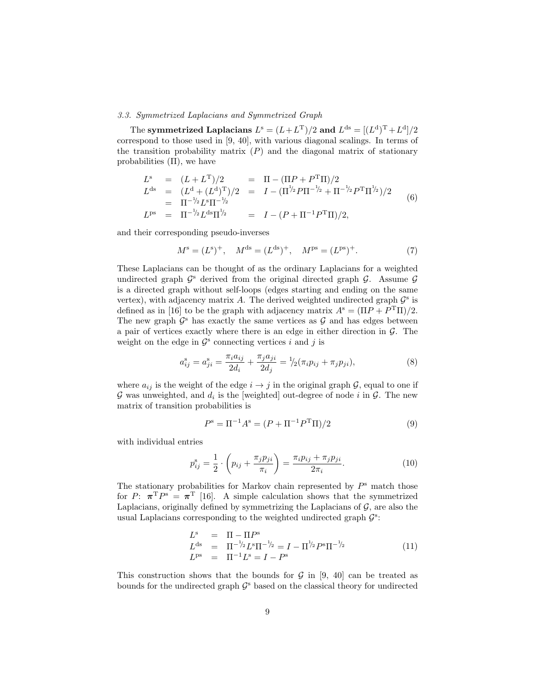# 3.3. Symmetrized Laplacians and Symmetrized Graph

The symmetrized Laplacians  $L^{\rm s}=(L+L^{\rm T})/2$  and  $L^{\rm ds}=[(L^{\rm d})^{\rm T}+L^{\rm d}]/2$ correspond to those used in [9, 40], with various diagonal scalings. In terms of the transition probability matrix  $(P)$  and the diagonal matrix of stationary probabilities  $(\Pi)$ , we have

$$
L^s = (L + L^T)/2 = \Pi - (\Pi P + P^T \Pi)/2
$$
  
\n
$$
L^{ds} = (L^d + (L^d)^T)/2 = I - (\Pi^{1/2} P \Pi^{-1/2} + \Pi^{-1/2} P^T \Pi^{1/2})/2
$$
  
\n
$$
= \Pi^{-1/2} L^{ds} \Pi^{1/2} = I - (P + \Pi^{-1} P^T \Pi)/2,
$$
  
\n(6)

and their corresponding pseudo-inverses

$$
M^s = (L^s)^+, \quad M^{ds} = (L^{ds})^+, \quad M^{ps} = (L^{ps})^+.
$$
 (7)

These Laplacians can be thought of as the ordinary Laplacians for a weighted undirected graph  $\mathcal{G}^s$  derived from the original directed graph  $\mathcal{G}$ . Assume  $\mathcal{G}$ is a directed graph without self-loops (edges starting and ending on the same vertex), with adjacency matrix A. The derived weighted undirected graph  $\mathcal{G}^s$  is defined as in [16] to be the graph with adjacency matrix  $A^s = (\Pi P + P^T \Pi)/2$ . The new graph  $\mathcal{G}^s$  has exactly the same vertices as  $\mathcal{G}$  and has edges between a pair of vertices exactly where there is an edge in either direction in  $\mathcal{G}$ . The weight on the edge in  $\mathcal{G}^s$  connecting vertices i and j is

$$
a_{ij}^s = a_{ji}^s = \frac{\pi_i a_{ij}}{2d_i} + \frac{\pi_j a_{ji}}{2d_j} = \frac{1}{2}(\pi_i p_{ij} + \pi_j p_{ji}),\tag{8}
$$

where  $a_{ij}$  is the weight of the edge  $i \rightarrow j$  in the original graph  $\mathcal{G}$ , equal to one if  $G$  was unweighted, and  $d_i$  is the [weighted] out-degree of node i in  $G$ . The new matrix of transition probabilities is

$$
P^{\rm s} = \Pi^{-1} A^{\rm s} = (P + \Pi^{-1} P^{\rm T} \Pi)/2 \tag{9}
$$

with individual entries

$$
p_{ij}^{\rm s} = \frac{1}{2} \cdot \left( p_{ij} + \frac{\pi_j p_{ji}}{\pi_i} \right) = \frac{\pi_i p_{ij} + \pi_j p_{ji}}{2\pi_i}.
$$
 (10)

The stationary probabilities for Markov chain represented by  $P^s$  match those for P:  $\pi^T P^s = \pi^T$  [16]. A simple calculation shows that the symmetrized Laplacians, originally defined by symmetrizing the Laplacians of  $\mathcal{G}$ , are also the usual Laplacians corresponding to the weighted undirected graph  $\mathcal{G}^s\text{:}$ 

$$
L^{s} = \Pi - \Pi P^{s}
$$
  
\n
$$
L^{ds} = \Pi^{-1/2} L^{s} \Pi^{-1/2} = I - \Pi^{1/2} P^{s} \Pi^{-1/2}
$$
  
\n
$$
L^{ps} = \Pi^{-1} L^{s} = I - P^{s}
$$
\n(11)

This construction shows that the bounds for  $\mathcal G$  in [9, 40] can be treated as bounds for the undirected graph  $\mathcal{G}^s$  based on the classical theory for undirected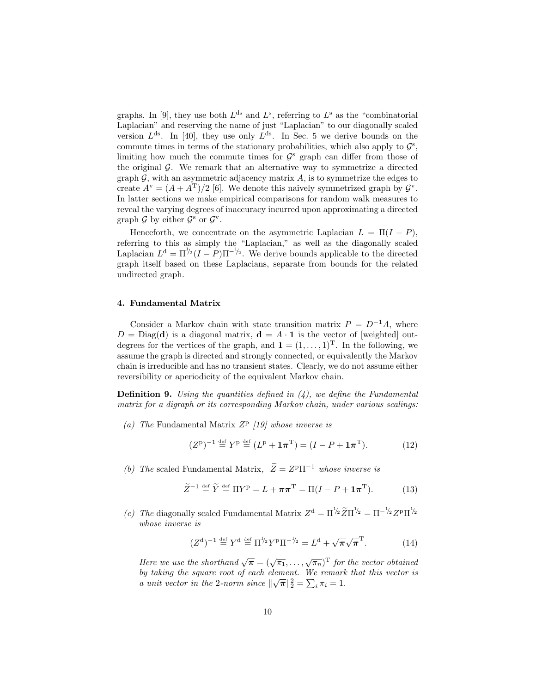graphs. In [9], they use both  $L<sup>ds</sup>$  and  $L<sup>s</sup>$ , referring to  $L<sup>s</sup>$  as the "combinatorial Laplacian" and reserving the name of just "Laplacian" to our diagonally scaled version  $L^{ds}$ . In [40], they use only  $L^{ds}$ . In Sec. 5 we derive bounds on the commute times in terms of the stationary probabilities, which also apply to  $\mathcal{G}^s$ , limiting how much the commute times for  $\mathcal{G}^s$  graph can differ from those of the original  $\mathcal G$ . We remark that an alternative way to symmetrize a directed graph  $\mathcal{G}$ , with an asymmetric adjacency matrix  $A$ , is to symmetrize the edges to create  $A^{\nu} = (A + A^{T})/2$  [6]. We denote this naively symmetrized graph by  $\mathcal{G}^{\nu}$ . In latter sections we make empirical comparisons for random walk measures to reveal the varying degrees of inaccuracy incurred upon approximating a directed graph  $\mathcal G$  by either  $\mathcal G^s$  or  $\mathcal G^v$ .

Henceforth, we concentrate on the asymmetric Laplacian  $L = \Pi(I - P)$ , referring to this as simply the "Laplacian," as well as the diagonally scaled Laplacian  $L^d = \Pi^{1/2} (I - P) \Pi^{-1/2}$ . We derive bounds applicable to the directed graph itself based on these Laplacians, separate from bounds for the related undirected graph.

# 4. Fundamental Matrix

Consider a Markov chain with state transition matrix  $P = D^{-1}A$ , where  $D = Diag(\mathbf{d})$  is a diagonal matrix,  $\mathbf{d} = A \cdot \mathbf{1}$  is the vector of [weighted] outdegrees for the vertices of the graph, and  $\mathbf{1} = (1, \ldots, 1)^{\mathrm{T}}$ . In the following, we assume the graph is directed and strongly connected, or equivalently the Markov chain is irreducible and has no transient states. Clearly, we do not assume either reversibility or aperiodicity of the equivalent Markov chain.

**Definition 9.** Using the quantities defined in  $(4)$ , we define the Fundamental matrix for a digraph or its corresponding Markov chain, under various scalings:

(a) The Fundamental Matrix  $Z^p$  [19] whose inverse is

$$
(Zp)-1 \stackrel{\text{def}}{=} Yp \stackrel{\text{def}}{=} (Lp + \mathbf{1}\piT) = (I - P + \mathbf{1}\piT). \tag{12}
$$

(b) The scaled Fundamental Matrix,  $\widetilde{Z} = Z^p \Pi^{-1}$  whose inverse is

$$
\widetilde{Z}^{-1} \stackrel{\text{def}}{=} \widetilde{Y} \stackrel{\text{def}}{=} \Pi Y^{\text{p}} = L + \pi \pi^{\text{T}} = \Pi (I - P + \mathbf{1} \pi^{\text{T}}). \tag{13}
$$

(c) The diagonally scaled Fundamental Matrix  $Z^d = \Pi^{1/2} \widetilde{Z} \Pi^{1/2} = \Pi^{-1/2} Z^p \Pi^{1/2}$ whose inverse is

$$
(Zd)-1 \stackrel{\text{def}}{=} Yd \stackrel{\text{def}}{=} \Pi^{1/2} Yp \Pi^{-1/2} = Ld + \sqrt{\pi} \sqrt{\pi}T.
$$
 (14)

Here we use the shorthand  $\sqrt{\pi} = (\sqrt{\pi_1}, \ldots, \sqrt{\pi_n})^{\text{T}}$  for the vector obtained by taking the square root of each element. We remark that this vector is a unit vector in the 2-norm since  $\|\sqrt{\pi}\|_2^2 = \sum_i \pi_i = 1$ .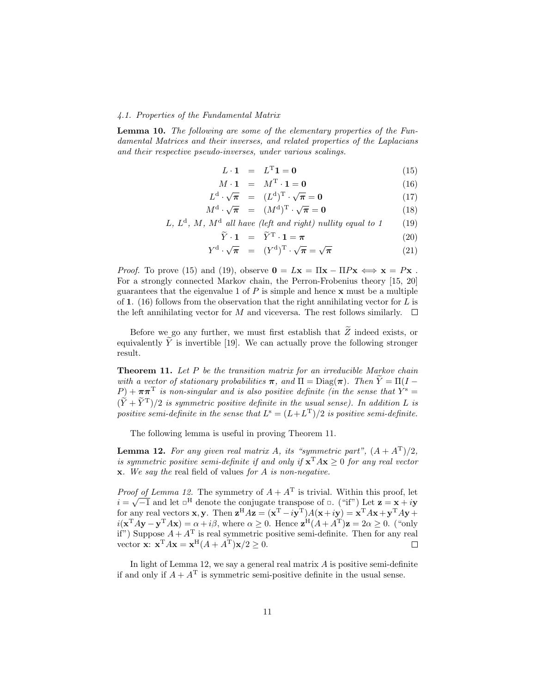# 4.1. Properties of the Fundamental Matrix

Lemma 10. The following are some of the elementary properties of the Fundamental Matrices and their inverses, and related properties of the Laplacians and their respective pseudo-inverses, under various scalings.

$$
L \cdot \mathbf{1} = L^{\mathrm{T}} \mathbf{1} = \mathbf{0} \tag{15}
$$

$$
M \cdot \mathbf{1} = M^{\mathrm{T}} \cdot \mathbf{1} = \mathbf{0} \tag{16}
$$

$$
L^{\mathbf{d}} \cdot \sqrt{\boldsymbol{\pi}} = (L^{\mathbf{d}})^{\mathrm{T}} \cdot \sqrt{\boldsymbol{\pi}} = \mathbf{0}
$$
 (17)

$$
M^{\mathbf{d}} \cdot \sqrt{\boldsymbol{\pi}} = (M^{\mathbf{d}})^{\mathrm{T}} \cdot \sqrt{\boldsymbol{\pi}} = \mathbf{0}
$$
 (18)

L,  $L^d$ , M,  $M^d$  all have (left and right) nullity equal to 1 (19)

$$
\widetilde{Y} \cdot \mathbf{1} = \widetilde{Y}^{\mathrm{T}} \cdot \mathbf{1} = \boldsymbol{\pi} \tag{20}
$$

$$
Y^{\mathrm{d}} \cdot \sqrt{\pi} = (Y^{\mathrm{d}})^{\mathrm{T}} \cdot \sqrt{\pi} = \sqrt{\pi} \tag{21}
$$

*Proof.* To prove (15) and (19), observe  $\mathbf{0} = L\mathbf{x} = \Pi\mathbf{x} - \Pi P\mathbf{x} \Leftrightarrow \mathbf{x} = P\mathbf{x}$ . For a strongly connected Markov chain, the Perron-Frobenius theory [15, 20] guarantees that the eigenvalue 1 of  $P$  is simple and hence  $\bf{x}$  must be a multiple of 1. (16) follows from the observation that the right annihilating vector for L is the left annihilating vector for M and viceversa. The rest follows similarly.  $\square$ 

Before we go any further, we must first establish that  $\widetilde{Z}$  indeed exists, or equivalently  $\widetilde{Y}$  is invertible [19]. We can actually prove the following stronger result.

Theorem 11. Let P be the transition matrix for an irreducible Markov chain with a vector of stationary probabilities  $\pi$ , and  $\Pi = \text{Diag}(\pi)$ . Then  $\widetilde{Y} = \Pi(I - \pi)$  $(P) + \pi \pi^{T}$  is non-singular and is also positive definite (in the sense that  $Y^{s} =$  $(\tilde{Y} + \tilde{Y}^{T})/2$  is symmetric positive definite in the usual sense). In addition L is positive semi-definite in the sense that  $L^{s} = (L + L^{T})/2$  is positive semi-definite.

The following lemma is useful in proving Theorem 11.

**Lemma 12.** For any given real matrix A, its "symmetric part",  $(A + A^T)/2$ , is symmetric positive semi-definite if and only if  $\mathbf{x}^{\mathrm{T}} A \mathbf{x} \geq 0$  for any real vector  $x.$  We say the real field of values for A is non-negative.

*Proof of Lemma 12.* The symmetry of  $A + A<sup>T</sup>$  is trivial. Within this proof, let  $i = \sqrt{-1}$  and let  $\Box^H$  denote the conjugate transpose of  $\Box$ . ("if") Let  $z = x + iy$ for any real vectors **x**, **y**. Then  $\mathbf{z}^{\text{H}}A\mathbf{z} = (\mathbf{x}^{\text{T}} - i\mathbf{y}^{\text{T}})A(\mathbf{x} + i\mathbf{y}) = \mathbf{x}^{\text{T}}A\mathbf{x} + \mathbf{y}^{\text{T}}A\mathbf{y} +$  $i(\mathbf{x}^{\mathrm{T}} A \mathbf{y} - \mathbf{y}^{\mathrm{T}} A \mathbf{x}) = \alpha + i\beta$ , where  $\alpha \geq 0$ . Hence  $\mathbf{z}^{\mathrm{H}} (A + A^{\mathrm{T}}) \mathbf{z} = 2\alpha \geq 0$ . ("only if") Suppose  $A + A<sup>T</sup>$  is real symmetric positive semi-definite. Then for any real vector  $\mathbf{x}$ :  $\mathbf{x}^{\mathrm{T}} A \mathbf{x} = \mathbf{x}^{\mathrm{H}} (A + A^{\mathrm{T}}) \mathbf{x} / 2 \ge 0$ .  $\Box$ 

In light of Lemma 12, we say a general real matrix  $A$  is positive semi-definite if and only if  $A + A<sup>T</sup>$  is symmetric semi-positive definite in the usual sense.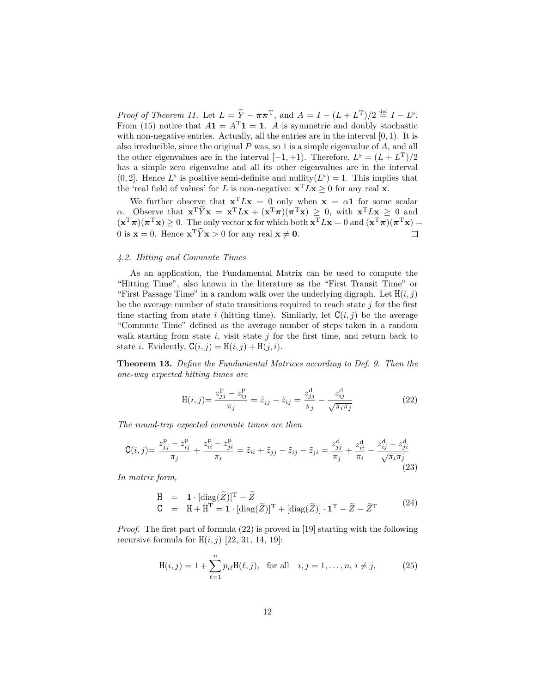Proof of Theorem 11. Let  $L = \tilde{Y} - \pi \pi^{T}$ , and  $A = I - (L + L^{T})/2 \stackrel{\text{def}}{=} I - L^{s}$ . From (15) notice that  $A\mathbf{1} = A^{\mathrm{T}}\mathbf{1} = \mathbf{1}$ . A is symmetric and doubly stochastic with non-negative entries. Actually, all the entries are in the interval  $[0, 1)$ . It is also irreducible, since the original  $P$  was, so 1 is a simple eigenvalue of  $A$ , and all the other eigenvalues are in the interval  $[-1, +1)$ . Therefore,  $L^s = (L + L^T)/2$ has a simple zero eigenvalue and all its other eigenvalues are in the interval  $(0, 2]$ . Hence  $L^s$  is positive semi-definite and nullity $(L^s) = 1$ . This implies that the 'real field of values' for L is non-negative:  $\mathbf{x}^{\mathrm{T}} L \mathbf{x} \geq 0$  for any real  $\mathbf{x}$ .

We further observe that  $\mathbf{x}^T L \mathbf{x} = 0$  only when  $\mathbf{x} = \alpha \mathbf{1}$  for some scalar  $\alpha$ . Observe that  $\mathbf{x}^T \widetilde{Y} \mathbf{x} = \mathbf{x}^T L \mathbf{x} + (\mathbf{x}^T \pi)(\pi^T \mathbf{x}) \geq 0$ , with  $\mathbf{x}^T L \mathbf{x} \geq 0$  and  $(\mathbf{x}^T \boldsymbol{\pi})(\boldsymbol{\pi}^T \mathbf{x}) \geq 0$ . The only vector **x** for which both  $\mathbf{x}^T L \mathbf{x} = 0$  and  $(\mathbf{x}^T \boldsymbol{\pi})(\boldsymbol{\pi}^T \mathbf{x}) =$ 0 is  $\mathbf{x} = 0$ . Hence  $\mathbf{x}^T \tilde{Y} \mathbf{x} > 0$  for any real  $\mathbf{x} \neq \mathbf{0}$ .  $\Box$ 

## 4.2. Hitting and Commute Times

As an application, the Fundamental Matrix can be used to compute the "Hitting Time", also known in the literature as the "First Transit Time" or "First Passage Time" in a random walk over the underlying digraph. Let  $H(i, j)$ be the average number of state transitions required to reach state  $j$  for the first time starting from state i (hitting time). Similarly, let  $C(i, j)$  be the average "Commute Time" defined as the average number of steps taken in a random walk starting from state  $i$ , visit state  $j$  for the first time, and return back to state *i*. Evidently,  $C(i, j) = H(i, j) + H(j, i)$ .

Theorem 13. Define the Fundamental Matrices according to Def. 9. Then the one-way expected hitting times are

$$
H(i,j) = \frac{z_{jj}^{\text{P}} - z_{ij}^{\text{P}}}{\pi_j} = \tilde{z}_{jj} - \tilde{z}_{ij} = \frac{z_{jj}^{\text{d}}}{\pi_j} - \frac{z_{ij}^{\text{d}}}{\sqrt{\pi_i \pi_j}}
$$
(22)

The round-trip expected commute times are then

$$
\mathbf{C}(i,j) = \frac{z_{jj}^{\rm p} - z_{ij}^{\rm p}}{\pi_j} + \frac{z_{ii}^{\rm p} - z_{ji}^{\rm p}}{\pi_i} = \tilde{z}_{ii} + \tilde{z}_{jj} - \tilde{z}_{ij} - \tilde{z}_{ji} = \frac{z_{jj}^{\rm d}}{\pi_j} + \frac{z_{ii}^{\rm d}}{\pi_i} - \frac{z_{ij}^{\rm d} + z_{ji}^{\rm d}}{\sqrt{\pi_i \pi_j}}
$$
(23)

In matrix form,

$$
\begin{array}{lcl} \mathrm{H} & = & \mathbf{1} \cdot [\mathrm{diag}(\widetilde{Z})]^{\mathrm{T}} - \widetilde{Z} \\ \mathrm{C} & = & \mathrm{H} + \mathrm{H}^{\mathrm{T}} = \mathbf{1} \cdot [\mathrm{diag}(\widetilde{Z})]^{\mathrm{T}} + [\mathrm{diag}(\widetilde{Z})] \cdot \mathbf{1}^{\mathrm{T}} - \widetilde{Z} - \widetilde{Z}^{\mathrm{T}} \end{array} \tag{24}
$$

Proof. The first part of formula (22) is proved in [19] starting with the following recursive formula for  $H(i, j)$  [22, 31, 14, 19]:

$$
H(i,j) = 1 + \sum_{\ell=1}^{n} p_{i\ell} H(\ell, j), \text{ for all } i, j = 1, ..., n, i \neq j,
$$
 (25)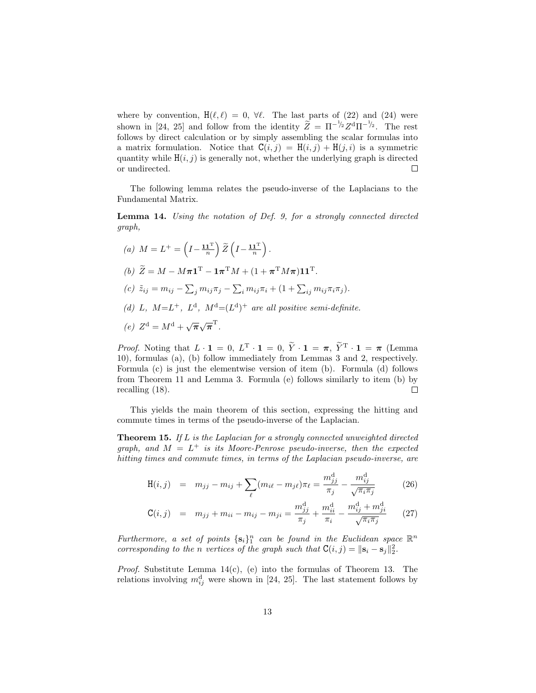where by convention,  $H(\ell, \ell) = 0$ ,  $\forall \ell$ . The last parts of (22) and (24) were shown in [24, 25] and follow from the identity  $\widetilde{Z} = \Pi^{-1/2} Z^d \Pi^{-1/2}$ . The rest follows by direct calculation or by simply assembling the scalar formulas into a matrix formulation. Notice that  $C(i, j) = H(i, j) + H(j, i)$  is a symmetric quantity while  $H(i, j)$  is generally not, whether the underlying graph is directed or undirected.  $\Box$ 

The following lemma relates the pseudo-inverse of the Laplacians to the Fundamental Matrix.

Lemma 14. Using the notation of Def. 9, for a strongly connected directed graph,

(a)  $M = L^{+} = \left(I - \frac{11^{T}}{n}\right)$  $\sum_{n=1}^{\infty} \left( I - \frac{\mathbf{1} \mathbf{1}^{\mathrm{T}}}{n} \right)$  $\big).$ (b)  $\widetilde{Z} = M - M\boldsymbol{\pi}\mathbf{1}^{\mathrm{T}} - \mathbf{1}\boldsymbol{\pi}^{\mathrm{T}}M + (1 + \boldsymbol{\pi}^{\mathrm{T}}M\boldsymbol{\pi})\mathbf{1}\mathbf{1}^{\mathrm{T}}.$ (c)  $\tilde{z}_{ij} = m_{ij} - \sum_j m_{ij} \pi_j - \sum_i m_{ij} \pi_i + (1 + \sum_{ij} m_{ij} \pi_i \pi_j).$ (d) L,  $M=L^+$ ,  $L^d$ ,  $M^d=(L^d)^+$  are all positive semi-definite. (e)  $Z^d = M^d + \sqrt{\pi} \sqrt{\pi}^T$ .

*Proof.* Noting that  $L \cdot \mathbf{1} = 0$ ,  $L^T \cdot \mathbf{1} = 0$ ,  $\tilde{Y} \cdot \mathbf{1} = \pi$ ,  $\tilde{Y}^T \cdot \mathbf{1} = \pi$  (Lemma 10), formulas (a), (b) follow immediately from Lemmas 3 and 2, respectively. Formula (c) is just the elementwise version of item (b). Formula (d) follows from Theorem 11 and Lemma 3. Formula (e) follows similarly to item (b) by recalling (18).  $\Box$ 

This yields the main theorem of this section, expressing the hitting and commute times in terms of the pseudo-inverse of the Laplacian.

**Theorem 15.** If  $L$  is the Laplacian for a strongly connected unweighted directed graph, and  $M = L^+$  is its Moore-Penrose pseudo-inverse, then the expected hitting times and commute times, in terms of the Laplacian pseudo-inverse, are

$$
H(i,j) = m_{jj} - m_{ij} + \sum_{\ell} (m_{i\ell} - m_{j\ell}) \pi_{\ell} = \frac{m_{jj}^d}{\pi_j} - \frac{m_{ij}^d}{\sqrt{\pi_i \pi_j}}
$$
(26)

$$
\mathbf{C}(i,j) = m_{jj} + m_{ii} - m_{ij} - m_{ji} = \frac{m_{jj}^{\mathrm{d}}}{\pi_j} + \frac{m_{ii}^{\mathrm{d}}}{\pi_i} - \frac{m_{ij}^{\mathrm{d}} + m_{ji}^{\mathrm{d}}}{\sqrt{\pi_i \pi_j}} \qquad (27)
$$

Furthermore, a set of points  $\{s_i\}_1^n$  can be found in the Euclidean space  $\mathbb{R}^n$ corresponding to the n vertices of the graph such that  $C(i, j) = ||\mathbf{s}_i - \mathbf{s}_j||_2^2$ .

*Proof.* Substitute Lemma  $14(c)$ , (e) into the formulas of Theorem 13. The relations involving  $m_{ij}^d$  were shown in [24, 25]. The last statement follows by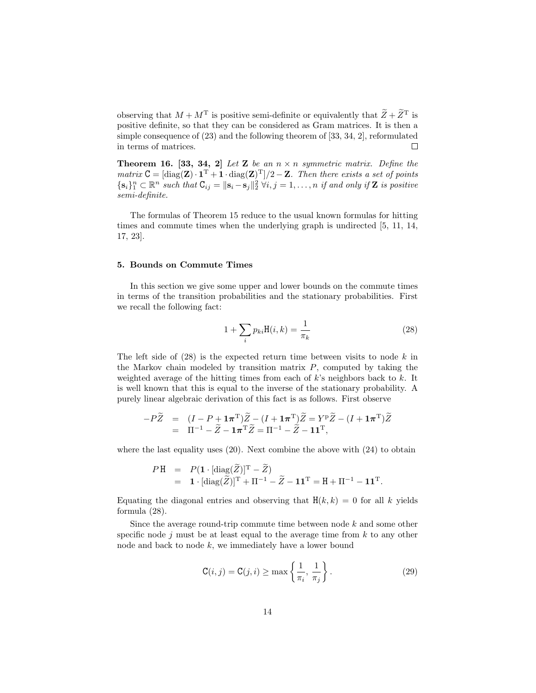observing that  $M + M<sup>T</sup>$  is positive semi-definite or equivalently that  $\widetilde{Z} + \widetilde{Z}<sup>T</sup>$  is positive definite, so that they can be considered as Gram matrices. It is then a simple consequence of (23) and the following theorem of [33, 34, 2], reformulated in terms of matrices.  $\Box$ 

**Theorem 16. [33, 34, 2]** Let **Z** be an  $n \times n$  symmetric matrix. Define the matrix  $C = [\text{diag}(\mathbf{Z}) \cdot \mathbf{1}^T + \mathbf{1} \cdot \text{diag}(\mathbf{Z})^T]/2 - \mathbf{Z}$ . Then there exists a set of points  $\{\mathbf s_i\}_1^n \subset \mathbb R^n$  such that  $C_{ij} = \|\mathbf s_i - \mathbf s_j\|_2^2 \ \forall i, j = 1, \ldots, n$  if and only if Z is positive semi-definite.

The formulas of Theorem 15 reduce to the usual known formulas for hitting times and commute times when the underlying graph is undirected [5, 11, 14, 17, 23].

## 5. Bounds on Commute Times

In this section we give some upper and lower bounds on the commute times in terms of the transition probabilities and the stationary probabilities. First we recall the following fact:

$$
1 + \sum_{i} p_{ki} \mathbf{H}(i, k) = \frac{1}{\pi_k} \tag{28}
$$

The left side of  $(28)$  is the expected return time between visits to node k in the Markov chain modeled by transition matrix  $P$ , computed by taking the weighted average of the hitting times from each of  $k$ 's neighbors back to  $k$ . It is well known that this is equal to the inverse of the stationary probability. A purely linear algebraic derivation of this fact is as follows. First observe

$$
\begin{array}{rcl}\n-P\widetilde{Z} & = & (I - P + \mathbf{1}\pi^{\mathrm{T}})\widetilde{Z} - (I + \mathbf{1}\pi^{\mathrm{T}})\widetilde{Z} = Y^{\mathrm{p}}\widetilde{Z} - (I + \mathbf{1}\pi^{\mathrm{T}})\widetilde{Z} \\
 & = & \Pi^{-1} - \widetilde{Z} - \mathbf{1}\pi^{\mathrm{T}}\widetilde{Z} = \Pi^{-1} - \widetilde{Z} - \mathbf{1}\mathbf{1}^{\mathrm{T}},\n\end{array}
$$

where the last equality uses  $(20)$ . Next combine the above with  $(24)$  to obtain

$$
PH = P(\mathbf{1} \cdot [\text{diag}(\widetilde{Z})]^{\mathrm{T}} - \widetilde{Z})
$$
  
=  $\mathbf{1} \cdot [\text{diag}(\widetilde{Z})]^{\mathrm{T}} + \Pi^{-1} - \widetilde{Z} - \mathbf{1}\mathbf{1}^{\mathrm{T}} = \mathbf{H} + \Pi^{-1} - \mathbf{1}\mathbf{1}^{\mathrm{T}}.$ 

Equating the diagonal entries and observing that  $H(k, k) = 0$  for all k yields formula (28).

Since the average round-trip commute time between node  $k$  and some other specific node  $j$  must be at least equal to the average time from  $k$  to any other node and back to node k, we immediately have a lower bound

$$
\mathsf{C}(i,j) = \mathsf{C}(j,i) \ge \max\left\{\frac{1}{\pi_i}, \frac{1}{\pi_j}\right\}.
$$
 (29)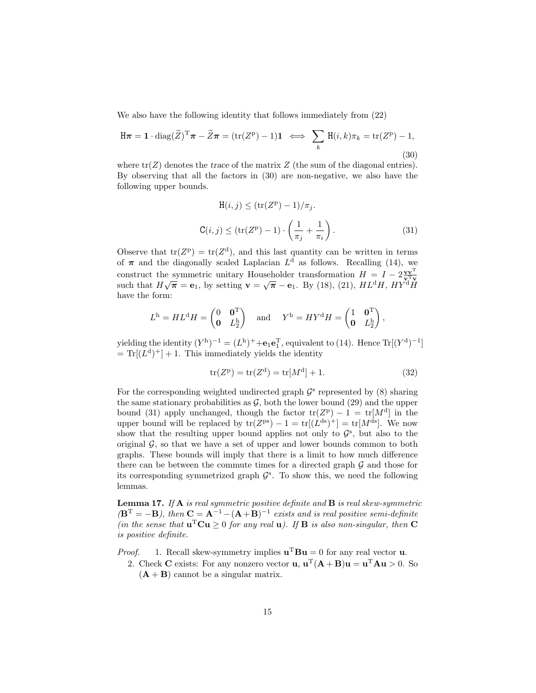We also have the following identity that follows immediately from (22)

$$
\mathbf{H}\boldsymbol{\pi} = \mathbf{1} \cdot \text{diag}(\widetilde{Z})^{\mathrm{T}}\boldsymbol{\pi} - \widetilde{Z}\boldsymbol{\pi} = (\text{tr}(Z^{\mathrm{p}}) - 1)\mathbf{1} \iff \sum_{k} \mathbf{H}(i,k)\pi_{k} = \text{tr}(Z^{\mathrm{p}}) - 1,
$$
\n(30)

where  $tr(Z)$  denotes the trace of the matrix Z (the sum of the diagonal entries). By observing that all the factors in (30) are non-negative, we also have the following upper bounds.

$$
H(i,j) \leq (\text{tr}(Z^p) - 1)/\pi_j.
$$
  
\n
$$
C(i,j) \leq (\text{tr}(Z^p) - 1) \cdot \left(\frac{1}{\pi_j} + \frac{1}{\pi_i}\right).
$$
\n(31)

Observe that  $tr(Z^p) = tr(Z^d)$ , and this last quantity can be written in terms of  $\pi$  and the diagonally scaled Laplacian  $L<sup>d</sup>$  as follows. Recalling (14), we construct the symmetric unitary Householder transformation  $H = I - 2\frac{\mathbf{v}\mathbf{v}^{\mathrm{T}}}{\mathbf{v}\mathbf{v}}$ <br>such that  $H\sqrt{\pi} = \mathbf{e}_1$ , by setting  $\mathbf{v} = \sqrt{\pi} - \mathbf{e}_1$ . By (18), (21),  $HL^dH$ ,  $HY^dH$ have the form:

$$
Lh = HLdH = \begin{pmatrix} 0 & \mathbf{0}^T \\ \mathbf{0} & L_2^h \end{pmatrix} \text{ and } Yh = HYdH = \begin{pmatrix} 1 & \mathbf{0}^T \\ \mathbf{0} & L_2^h \end{pmatrix},
$$

yielding the identity  $(Y^h)^{-1} = (L^h)^+ + e_1 e_1^T$ , equivalent to (14). Hence  $Tr[(Y^d)^{-1}]$  $= \text{Tr}[(L^d)^+] + 1$ . This immediately yields the identity

$$
tr(Z^{p}) = tr(Z^{d}) = tr[M^{d}] + 1.
$$
 (32)

For the corresponding weighted undirected graph  $\mathcal{G}^s$  represented by (8) sharing the same stationary probabilities as  $\mathcal{G}$ , both the lower bound (29) and the upper bound (31) apply unchanged, though the factor  $tr(Z^p) - 1 = tr[M^d]$  in the upper bound will be replaced by  $tr(Z^{ps}) - 1 = tr[(L^{ds})^+] = tr[M^{ds}]$ . We now show that the resulting upper bound applies not only to  $\mathcal{G}^s$ , but also to the original  $\mathcal{G}$ , so that we have a set of upper and lower bounds common to both graphs. These bounds will imply that there is a limit to how much difference there can be between the commute times for a directed graph  $\mathcal G$  and those for its corresponding symmetrized graph  $\mathcal{G}^s$ . To show this, we need the following lemmas.

**Lemma 17.** If  $\bf{A}$  is real symmetric positive definite and  $\bf{B}$  is real skew-symmetric  $(\mathbf{B}^{\mathrm{T}} = -\mathbf{B})$ , then  $\mathbf{C} = \mathbf{A}^{-1} - (\mathbf{A} + \mathbf{B})^{-1}$  exists and is real positive semi-definite (in the sense that  $\mathbf{u}^{\mathrm{T}}\mathbf{C}\mathbf{u} \geq 0$  for any real  $\mathbf{u}$ ). If **B** is also non-singular, then **C** is positive definite.

*Proof.* 1. Recall skew-symmetry implies  $\mathbf{u}^{\mathrm{T}} \mathbf{B} \mathbf{u} = 0$  for any real vector **u**.

2. Check C exists: For any nonzero vector  $\mathbf{u}, \mathbf{u}^{\mathrm{T}}(\mathbf{A} + \mathbf{B})\mathbf{u} = \mathbf{u}^{\mathrm{T}}\mathbf{A}\mathbf{u} > 0$ . So  $(A + B)$  cannot be a singular matrix.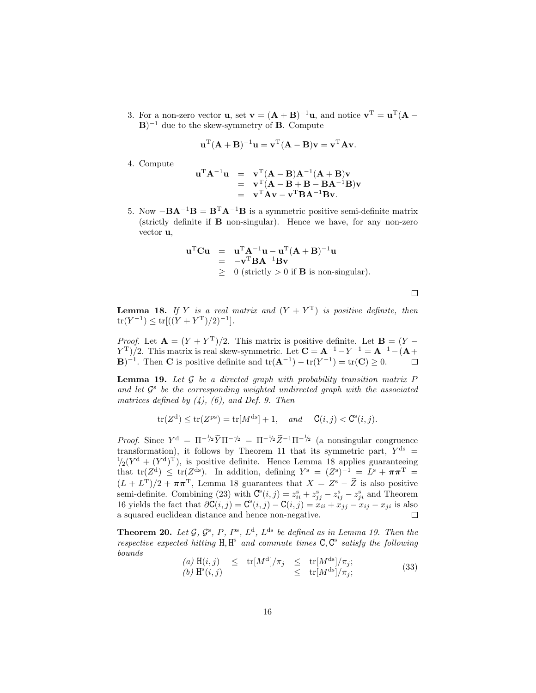3. For a non-zero vector **u**, set  $\mathbf{v} = (\mathbf{A} + \mathbf{B})^{-1}\mathbf{u}$ , and notice  $\mathbf{v}^{\mathrm{T}} = \mathbf{u}^{\mathrm{T}}(\mathbf{A} - \mathbf{B})^{-1}\mathbf{u}$ .  $\mathbf{B}$ )<sup>-1</sup> due to the skew-symmetry of **B**. Compute

$$
\mathbf{u}^{\mathrm{T}}(\mathbf{A} + \mathbf{B})^{-1}\mathbf{u} = \mathbf{v}^{\mathrm{T}}(\mathbf{A} - \mathbf{B})\mathbf{v} = \mathbf{v}^{\mathrm{T}}\mathbf{A}\mathbf{v}.
$$

4. Compute

$$
uTA-1u = vT(A - B)A-1(A + B)v
$$
  
= v<sup>T</sup>(A - B + B - BA<sup>-1</sup>B)v  
= v<sup>T</sup>Av - v<sup>T</sup>BA<sup>-1</sup>Bv.

5. Now  $-\mathbf{BA}^{-1}\mathbf{B} = \mathbf{B}^{\mathrm{T}}\mathbf{A}^{-1}\mathbf{B}$  is a symmetric positive semi-definite matrix (strictly definite if B non-singular). Hence we have, for any non-zero vector u,

$$
\mathbf{u}^{\mathrm{T}}\mathbf{C}\mathbf{u} = \mathbf{u}^{\mathrm{T}}\mathbf{A}^{-1}\mathbf{u} - \mathbf{u}^{\mathrm{T}}(\mathbf{A} + \mathbf{B})^{-1}\mathbf{u}
$$
  
= -\mathbf{v}^{\mathrm{T}}\mathbf{B}\mathbf{A}^{-1}\mathbf{B}\mathbf{v}  
\geq 0 (strictly > 0 if **B** is non-singular).

 $\Box$ 

**Lemma 18.** If Y is a real matrix and  $(Y + Y<sup>T</sup>)$  is positive definite, then  $tr(Y^{-1}) \le tr[((Y + Y^{T})/2)^{-1}].$ 

*Proof.* Let  $\mathbf{A} = (Y + Y^T)/2$ . This matrix is positive definite. Let  $\mathbf{B} = (Y - \mathbf{B})^T$  $(Y^T)/2$ . This matrix is real skew-symmetric. Let  $\mathbf{C} = \mathbf{A}^{-1} - Y^{-1} = \mathbf{A}^{-1} - (\mathbf{A} + \mathbf{A})^{-1}$ **B**)<sup>-1</sup>. Then **C** is positive definite and  $tr(\mathbf{A}^{-1}) - tr(Y^{-1}) = tr(\mathbf{C}) \ge 0$ .

**Lemma 19.** Let  $\mathcal G$  be a directed graph with probability transition matrix  $P$ and let  $\mathcal{G}^s$  be the corresponding weighted undirected graph with the associated matrices defined by  $(4)$ ,  $(6)$ , and Def. 9. Then

$$
\mathrm{tr}(Z^{\mathrm{d}})\leq\mathrm{tr}(Z^{\mathrm{ps}})=\mathrm{tr}[M^{\mathrm{ds}}]+1,\quad\text{and}\quad\mathsf{C}(i,j)<\mathsf{C}^{\mathrm{s}}(i,j).
$$

*Proof.* Since  $Y^d = \Pi^{-1/2} \widetilde{Y} \Pi^{-1/2} = \Pi^{-1/2} \widetilde{Z}^{-1} \Pi^{-1/2}$  (a nonsingular congruence transformation), it follows by Theorem 11 that its symmetric part,  $Y^{\text{ds}}$  =  $\frac{1}{2}(Y^d + (Y^d)^T)$ , is positive definite. Hence Lemma 18 applies guaranteeing that  $tr(Z^d) \leq tr(Z^{ds})$ . In addition, defining  $Y^s = (Z^s)^{-1} = \overline{L^s + \pi \pi^T} =$  $(L + L^T)/2 + \pi \pi^T$ , Lemma 18 guarantees that  $X = Z^s - \tilde{Z}$  is also positive semi-definite. Combining (23) with  $\mathbf{C}^{\mathbf{s}}(i, j) = z_{ii}^{\mathbf{s}} + z_{jj}^{\mathbf{s}} - z_{ij}^{\mathbf{s}} - z_{ji}^{\mathbf{s}}$  and Theorem 16 yields the fact that  $\partial \mathbf{C}(i, j) = \mathbf{C}^{\mathbf{s}}(i, j) - \mathbf{C}(i, j) = x_{ii} + x_{jj} - x_{ij} - x_{ji}$  is also a squared euclidean distance and hence non-negative.

**Theorem 20.** Let  $\mathcal{G}, \mathcal{G}^s, P, P^s, L^d, L^{ds}$  be defined as in Lemma 19. Then the respective expected hitting  $H, H^s$  and commute times  $C, C^s$  satisfy the following bounds

$$
\begin{array}{rcl}\n(a) \ \mathrm{H}(i,j) & \leq & \mathrm{tr}[M^{\mathrm{d}}]/\pi_j & \leq & \mathrm{tr}[M^{\mathrm{ds}}]/\pi_j; \\
(b) \ \mathrm{H}^{\mathrm{s}}(i,j) & \leq & \mathrm{tr}[M^{\mathrm{ds}}]/\pi_j;\n\end{array} \tag{33}
$$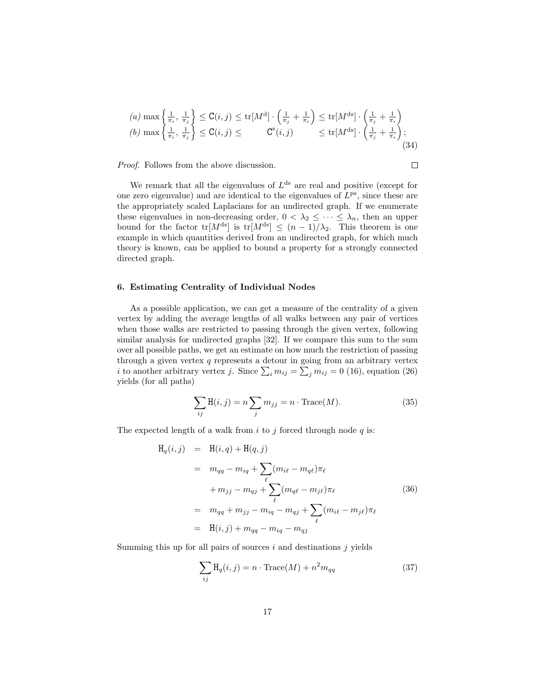(a) max 
$$
\left\{\frac{1}{\pi_i}, \frac{1}{\pi_j}\right\}
$$
  $\leq$  C(i, j)  $\leq$  tr $[M^d] \cdot \left(\frac{1}{\pi_j} + \frac{1}{\pi_i}\right) \leq$  tr $[M^{ds}] \cdot \left(\frac{1}{\pi_j} + \frac{1}{\pi_i}\right)$   
\n(b) max  $\left\{\frac{1}{\pi_i}, \frac{1}{\pi_j}\right\}$   $\leq$  C(i, j)  $\leq$  C<sup>s</sup>(i, j)  $\leq$  tr $[M^{ds}] \cdot \left(\frac{1}{\pi_j} + \frac{1}{\pi_i}\right)$ ; (34)

 $\Box$ 

Proof. Follows from the above discussion.

We remark that all the eigenvalues of  $L<sup>ds</sup>$  are real and positive (except for one zero eigenvalue) and are identical to the eigenvalues of  $L^{ps}$ , since these are the appropriately scaled Laplacians for an undirected graph. If we enumerate these eigenvalues in non-decreasing order,  $0 < \lambda_2 \leq \cdots \leq \lambda_n$ , then an upper bound for the factor tr[ $M^{ds}$ ] is tr[ $M^{ds}$ ]  $\leq (n-1)/\lambda_2$ . This theorem is one example in which quantities derived from an undirected graph, for which much theory is known, can be applied to bound a property for a strongly connected directed graph.

## 6. Estimating Centrality of Individual Nodes

As a possible application, we can get a measure of the centrality of a given vertex by adding the average lengths of all walks between any pair of vertices when those walks are restricted to passing through the given vertex, following similar analysis for undirected graphs [32]. If we compare this sum to the sum over all possible paths, we get an estimate on how much the restriction of passing through a given vertex  $q$  represents a detour in going from an arbitrary vertex *i* to another arbitrary vertex *j*. Since  $\sum_i m_{ij} = \sum_j m_{ij} = 0$  (16), equation (26) yields (for all paths)

$$
\sum_{ij} \mathbf{H}(i,j) = n \sum_{j} m_{jj} = n \cdot \text{Trace}(M). \tag{35}
$$

The expected length of a walk from  $i$  to  $j$  forced through node  $q$  is:

$$
H_q(i,j) = H(i,q) + H(q,j)
$$
  
\n
$$
= m_{qq} - m_{iq} + \sum_{\ell} (m_{i\ell} - m_{q\ell}) \pi_{\ell}
$$
  
\n
$$
+ m_{jj} - m_{qj} + \sum_{\ell} (m_{q\ell} - m_{j\ell}) \pi_{\ell}
$$
  
\n
$$
= m_{qq} + m_{jj} - m_{iq} - m_{qj} + \sum_{\ell} (m_{i\ell} - m_{j\ell}) \pi_{\ell}
$$
  
\n
$$
= H(i,j) + m_{qq} - m_{iq} - m_{qj}
$$
 (36)

Summing this up for all pairs of sources  $i$  and destinations  $j$  yields

$$
\sum_{ij} \mathcal{H}_q(i,j) = n \cdot \text{Trace}(M) + n^2 m_{qq} \tag{37}
$$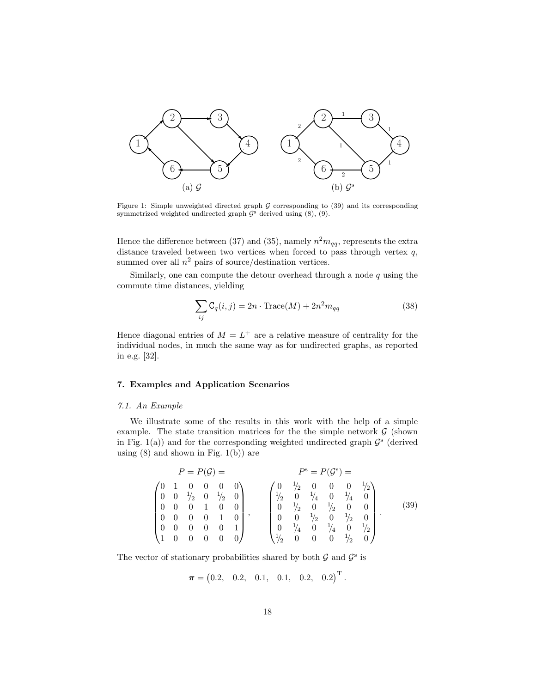

Figure 1: Simple unweighted directed graph  $G$  corresponding to (39) and its corresponding symmetrized weighted undirected graph  $\mathcal{G}^s$  derived using  $(8)$ ,  $(9)$ .

Hence the difference between (37) and (35), namely  $n^2 m_{qq}$ , represents the extra distance traveled between two vertices when forced to pass through vertex  $q$ , summed over all  $n^2$  pairs of source/destination vertices.

Similarly, one can compute the detour overhead through a node  $q$  using the commute time distances, yielding

$$
\sum_{ij} \mathcal{C}_q(i,j) = 2n \cdot \text{Trace}(M) + 2n^2 m_{qq} \tag{38}
$$

Hence diagonal entries of  $M = L^+$  are a relative measure of centrality for the individual nodes, in much the same way as for undirected graphs, as reported in e.g. [32].

# 7. Examples and Application Scenarios

#### 7.1. An Example

We illustrate some of the results in this work with the help of a simple example. The state transition matrices for the the simple network  $\mathcal G$  (shown in Fig. 1(a)) and for the corresponding weighted undirected graph  $\mathcal{G}^s$  (derived using  $(8)$  and shown in Fig.  $1(b)$  are

$$
P = P(\mathcal{G}) = P^s = P(\mathcal{G}^s) = P^s = P(\mathcal{G}^s) = P^s = P(\mathcal{G}^s) = P^s = P(\mathcal{G}^s) = P^s = P(\mathcal{G}^s) = P^s = P(\mathcal{G}^s) = P^s = P(\mathcal{G}^s) = P^s = P(\mathcal{G}^s) = P^s = P(\mathcal{G}^s) = P^s = P(\mathcal{G}^s) = P^s = P(\mathcal{G}^s) = P^s = P(\mathcal{G}^s) = P^s = P(\mathcal{G}^s) = P^s = P(\mathcal{G}^s) = P^s = P(\mathcal{G}^s) = P^s = P(\mathcal{G}^s) = P^s = P(\mathcal{G}^s) = P^s = P(\mathcal{G}^s) = P^s = P(\mathcal{G}^s) = P^s = P(\mathcal{G}^s) = P^s = P(\mathcal{G}^s) = P^s = P(\mathcal{G}^s) = P^s = P(\mathcal{G}^s) = P^s = P(\mathcal{G}^s) = P^s = P(\mathcal{G}^s) = P^s = P(\mathcal{G}^s) = P^s = P(\mathcal{G}^s) = P^s = P(\mathcal{G}^s) = P^s = P(\mathcal{G}^s) = P^s = P(\mathcal{G}^s) = P^s = P(\mathcal{G}^s) = P^s = P(\mathcal{G}^s) = P^s = P(\mathcal{G}^s) = P^s = P(\mathcal{G}^s) = P^s = P(\mathcal{G}^s) = P^s = P(\mathcal{G}^s) = P^s = P(\mathcal{G}^s) = P^s = P(\mathcal{G}^s) = P^s = P(\mathcal{G}^s) = P^s = P(\mathcal{G}^s) = P^s = P(\mathcal{G}^s) = P^s = P(\mathcal{G}^s) = P^s = P(\mathcal{G}^s) = P^s = P(\mathcal{G}^s) = P^s = P(\mathcal{G}^s) = P^s = P(\mathcal{G}^s) = P^s = P(\mathcal{G}^s) = P^s = P(\mathcal{G}^s) = P^s = P(\mathcal{G}^s) = P^s = P(\mathcal{G}^s)
$$

The vector of stationary probabilities shared by both  $\mathcal G$  and  $\mathcal G^s$  is

$$
\boldsymbol{\pi} = (0.2, 0.2, 0.1, 0.1, 0.2, 0.2)^{\mathrm{T}}.
$$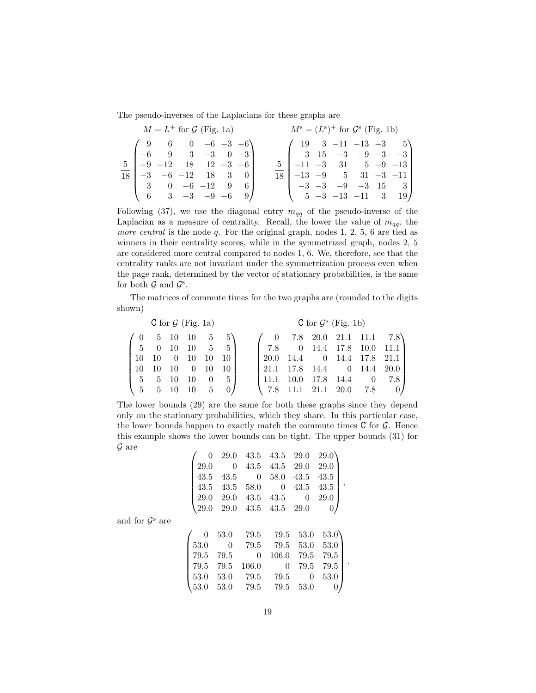The pseudo-inverses of the Laplacians for these graphs are

| $M = L^+$ for $\mathcal G$ (Fig. 1a)                                                     | $M^s = (L^s)^+$ for $\mathcal{G}^s$ (Fig. 1b)                                             |  |  |  |  |  |
|------------------------------------------------------------------------------------------|-------------------------------------------------------------------------------------------|--|--|--|--|--|
| $\begin{pmatrix} 9 & 6 & 0 & -6 & -3 & -6 \end{pmatrix}$                                 | $\begin{pmatrix} 19 & 3 & -11 & -13 & -3 & 5 \end{pmatrix}$                               |  |  |  |  |  |
| $\begin{bmatrix} -6 & 9 & 3 & -3 & 0 & -3 \\ -9 & -12 & 18 & 12 & -3 & -6 \end{bmatrix}$ | $\begin{bmatrix} 3 & 15 & -3 & -9 & -3 & -3 \end{bmatrix}$                                |  |  |  |  |  |
| $18 \begin{bmatrix} -3 & -6 & -12 & 18 & 3 & 0 \end{bmatrix}$                            | $5 \begin{bmatrix} -11 & -3 & 31 & 5 & -9 & -13 \end{bmatrix}$                            |  |  |  |  |  |
| $\begin{bmatrix} 3 & 0 & -6 & -12 & 9 & 6 \end{bmatrix}$                                 | $18 \begin{array}{ l} -13 & -9 \\ 5 & 31 \\ -3 & -11 \end{array}$                         |  |  |  |  |  |
| $\begin{pmatrix} 6 & 3 & -3 & -9 & -6 & 9 \end{pmatrix}$                                 | $\begin{pmatrix} -3 & -3 & -9 & -3 & 15 & 3 \\ 5 & -3 & -13 & -11 & 3 & 19 \end{pmatrix}$ |  |  |  |  |  |

Following (37), we use the diagonal entry  $m_{qq}$  of the pseudo-inverse of the Laplacian as a measure of centrality. Recall, the lower the value of  $m_{qq}$ , the *more central* is the node  $q$ . For the original graph, nodes 1, 2, 5, 6 are tied as winners in their centrality scores, while in the symmetrized graph, nodes 2, 5 are considered more central compared to nodes 1, 6. We, therefore, see that the centrality ranks are not invariant under the symmetrization process even when the page rank, determined by the vector of stationary probabilities, is the same for both  $\mathcal G$  and  $\mathcal G^s$ .

The matrices of commute times for the two graphs are (rounded to the digits shown)

| C for $\mathcal{G}$ (Fig. 1a)         |                                            |                     |                      |            |      | C for $\mathcal{G}^s$ (Fig. 1b) |      |  |  |                    |                            |
|---------------------------------------|--------------------------------------------|---------------------|----------------------|------------|------|---------------------------------|------|--|--|--------------------|----------------------------|
|                                       | $(0\quad 5\quad 10\quad 10\quad 5\quad 5)$ |                     |                      |            |      |                                 |      |  |  |                    | 7.8 20.0 21.1 11.1 7.8     |
| $\begin{bmatrix} 5 & 0 \end{bmatrix}$ |                                            | - 10                | $10 \quad 5 \quad 5$ |            |      | 17.8                            |      |  |  |                    | $0$ 14.4 17.8 10.0 11.1    |
| 10   10                               |                                            | $0\quad 10\quad 10$ |                      |            |      |                                 |      |  |  |                    | 20.0 14.4 0 14.4 17.8 21.1 |
| $110 \quad 10$                        |                                            | 10 0 10             |                      |            |      | 21.1 17.8 14.4 0 14.4 20.0      |      |  |  |                    |                            |
| 1 5 5 10                              |                                            |                     | - 10                 | $0\quad 5$ |      | 111.1                           | 10.0 |  |  |                    | 17.8 14.4 0 7.8            |
|                                       | $\begin{pmatrix} 5 & 5 & 10 \end{pmatrix}$ |                     | 10                   |            | 5 0/ | $\sqrt{7.8}$                    |      |  |  | 11.1 21.1 20.0 7.8 |                            |

The lower bounds (29) are the same for both these graphs since they depend only on the stationary probabilities, which they share. In this particular case, the lower bounds happen to exactly match the commute times  $C$  for  $\mathcal{G}$ . Hence this example shows the lower bounds can be tight. The upper bounds (31) for  $\mathcal G$  are

| 0        | 29.0 | 43.5     | 43.5  | 29.0           | 29.0      |  |
|----------|------|----------|-------|----------------|-----------|--|
| 29.0     | 0    | 43.5     | 43.5  | 29.0           | 29.0      |  |
| 43.5     | 43.5 | 0        | 58.0  | 43.5           | 43.5      |  |
| 43.5     | 43.5 | 58.0     | 0     | 43.5           | 43.5<br>٠ |  |
| 29.0     | 29.0 | 43.5     | 43.5  | $\overline{0}$ | 29.0      |  |
| $29.0\,$ | 29.0 | 43.5     | 43.5  | 29.0           |           |  |
|          |      |          |       |                |           |  |
| 0        | 53.0 | 79.5     | 79.5  | 53.0           | 53.0      |  |
| 53.0     | 0    | 79.5     | 79.5  | 53.0           | 53.0      |  |
| 79.5     | 79.5 | $\theta$ | 106.0 | 79.5           | 79.5      |  |
| 79.5     | 79.5 | 106.0    | 0     | 79.5           | 79.5      |  |
| 53.0     | 53.0 | 79.5     | 79.5  | 0              | 53.0      |  |
| $53.0\,$ | 53.0 | 79.5     | 79.5  | 53.0           | 0         |  |

and for  $\mathcal{G}^s$  are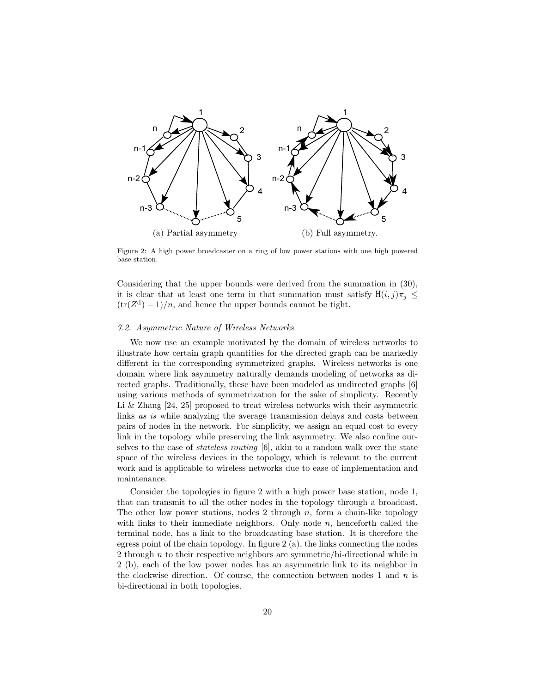

Figure 2: A high power broadcaster on a ring of low power stations with one high powered base station.

Considering that the upper bounds were derived from the summation in (30), it is clear that at least one term in that summation must satisfy  $H(i, j)\pi_i$  <  $(tr(Z<sup>d</sup>) – 1)/n$ , and hence the upper bounds cannot be tight.

## 7.2. Asymmetric Nature of Wireless Networks

We now use an example motivated by the domain of wireless networks to illustrate how certain graph quantities for the directed graph can be markedly different in the corresponding symmetrized graphs. Wireless networks is one domain where link asymmetry naturally demands modeling of networks as directed graphs. Traditionally, these have been modeled as undirected graphs [6] using various methods of symmetrization for the sake of simplicity. Recently Li & Zhang [24, 25] proposed to treat wireless networks with their asymmetric links as is while analyzing the average transmission delays and costs between pairs of nodes in the network. For simplicity, we assign an equal cost to every link in the topology while preserving the link asymmetry. We also confine ourselves to the case of stateless routing [6], akin to a random walk over the state space of the wireless devices in the topology, which is relevant to the current work and is applicable to wireless networks due to ease of implementation and maintenance.

Consider the topologies in figure 2 with a high power base station, node 1, that can transmit to all the other nodes in the topology through a broadcast. The other low power stations, nodes 2 through n, form a chain-like topology with links to their immediate neighbors. Only node  $n$ , henceforth called the terminal node, has a link to the broadcasting base station. It is therefore the egress point of the chain topology. In figure 2 (a), the links connecting the nodes 2 through  $n$  to their respective neighbors are symmetric/bi-directional while in 2 (b), each of the low power nodes has an asymmetric link to its neighbor in the clockwise direction. Of course, the connection between nodes 1 and  $n$  is bi-directional in both topologies.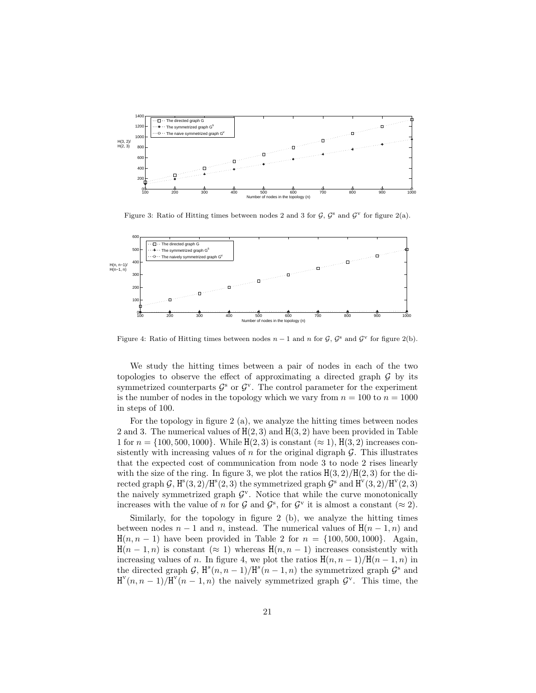

Figure 3: Ratio of Hitting times between nodes 2 and 3 for  $\mathcal{G}, \mathcal{G}^s$  and  $\mathcal{G}^v$  for figure 2(a).



Figure 4: Ratio of Hitting times between nodes  $n-1$  and n for  $\mathcal{G}, \mathcal{G}^s$  and  $\mathcal{G}^v$  for figure 2(b).

We study the hitting times between a pair of nodes in each of the two topologies to observe the effect of approximating a directed graph  $\mathcal G$  by its symmetrized counterparts  $\mathcal{G}^s$  or  $\mathcal{G}^v$ . The control parameter for the experiment is the number of nodes in the topology which we vary from  $n = 100$  to  $n = 1000$ in steps of 100.

For the topology in figure 2 (a), we analyze the hitting times between nodes 2 and 3. The numerical values of  $H(2, 3)$  and  $H(3, 2)$  have been provided in Table 1 for  $n = \{100, 500, 1000\}$ . While  $H(2, 3)$  is constant  $(\approx 1)$ ,  $H(3, 2)$  increases consistently with increasing values of  $n$  for the original digraph  $\mathcal{G}$ . This illustrates that the expected cost of communication from node 3 to node 2 rises linearly with the size of the ring. In figure 3, we plot the ratios  $H(3, 2)/H(2, 3)$  for the directed graph G,  $H^{s}(3, 2)/H^{s}(2, 3)$  the symmetrized graph  $G^{s}$  and  $H^{v}(3, 2)/H^{v}(2, 3)$ the naively symmetrized graph  $\mathcal{G}^{\mathbf{v}}$ . Notice that while the curve monotonically increases with the value of *n* for  $\mathcal{G}$  and  $\mathcal{G}^s$ , for  $\mathcal{G}^v$  it is almost a constant ( $\approx 2$ ).

Similarly, for the topology in figure 2 (b), we analyze the hitting times between nodes  $n-1$  and n, instead. The numerical values of  $H(n-1,n)$  and  $H(n, n - 1)$  have been provided in Table 2 for  $n = \{100, 500, 1000\}$ . Again,  $H(n-1,n)$  is constant  $(\approx 1)$  whereas  $H(n, n-1)$  increases consistently with increasing values of n. In figure 4, we plot the ratios  $H(n, n - 1)/H(n - 1, n)$  in the directed graph G,  $H^s(n, n-1)/H^s(n-1, n)$  the symmetrized graph G<sup>s</sup> and  $H^{v}(n, n - 1)/H^{v}(n - 1, n)$  the naively symmetrized graph  $\mathcal{G}^{v}$ . This time, the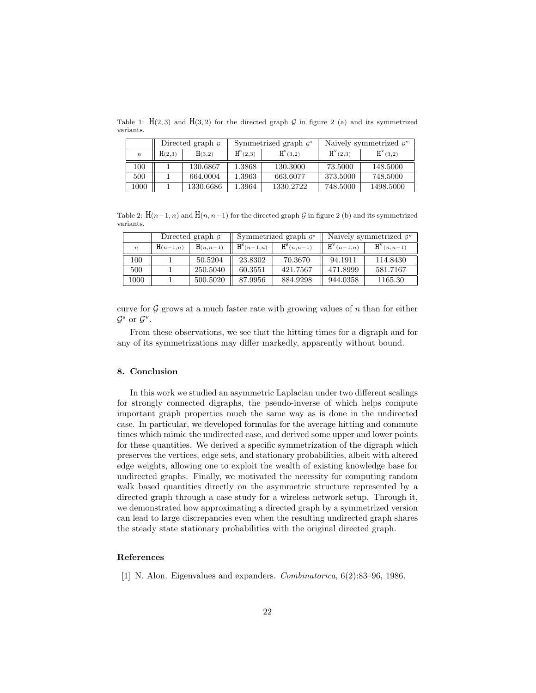Table 1:  $H(2,3)$  and  $H(3,2)$  for the directed graph G in figure 2 (a) and its symmetrized variants.

|                  |                  | Directed graph $\sigma$ |            | Symmetrized graph $\mathcal{G}^s$ | Naively symmetrized $gy$ |              |  |
|------------------|------------------|-------------------------|------------|-----------------------------------|--------------------------|--------------|--|
| $\boldsymbol{n}$ | H(3,2)<br>H(2,3) |                         | $H^s(2,3)$ | $H^{s}(3,2)$                      | $H^{V}(2,3)$             | $H^{V}(3,2)$ |  |
| 100              |                  | 130.6867                | 1.3868     | 130.3000                          | 73.5000                  | 148.5000     |  |
| 500              |                  | 664.0004                | 1.3963     | 663.6077                          | 373.5000                 | 748.5000     |  |
| $1000\,$         |                  | 1330.6686               | 1.3964     | 1330.2722                         | 748.5000                 | 1498.5000    |  |

Table 2:  $H(n-1, n)$  and  $H(n, n-1)$  for the directed graph G in figure 2 (b) and its symmetrized variants.

|                  |                           | Directed graph $\mathcal G$ |                              | Symmetrized graph $\mathcal{G}^s$ | Naively symmetrized $g^{\rm v}$ |              |  |
|------------------|---------------------------|-----------------------------|------------------------------|-----------------------------------|---------------------------------|--------------|--|
| $\boldsymbol{n}$ | $H(n, n-1)$<br>$H(n-1,n)$ |                             | $\text{H}^{\text{S}}(n-1,n)$ | $H^s(n,n-1)$                      | $H^V(n-1,n)$                    | $H^V(n,n-1)$ |  |
| 100              |                           | 50.5204                     | 23.8302                      | 70.3670                           | 94.1911                         | 114.8430     |  |
| 500              |                           | 250.5040                    | 60.3551                      | 421.7567                          | 471.8999                        | 581.7167     |  |
| 1000             |                           | 500.5020                    | 87.9956                      | 884.9298                          | 944.0358                        | 1165.30      |  |

curve for  $\mathcal G$  grows at a much faster rate with growing values of n than for either  $\mathcal{G}^s$  or  $\mathcal{G}^v$ .

From these observations, we see that the hitting times for a digraph and for any of its symmetrizations may differ markedly, apparently without bound.

## 8. Conclusion

In this work we studied an asymmetric Laplacian under two different scalings for strongly connected digraphs, the pseudo-inverse of which helps compute important graph properties much the same way as is done in the undirected case. In particular, we developed formulas for the average hitting and commute times which mimic the undirected case, and derived some upper and lower points for these quantities. We derived a specific symmetrization of the digraph which preserves the vertices, edge sets, and stationary probabilities, albeit with altered edge weights, allowing one to exploit the wealth of existing knowledge base for undirected graphs. Finally, we motivated the necessity for computing random walk based quantities directly on the asymmetric structure represented by a directed graph through a case study for a wireless network setup. Through it, we demonstrated how approximating a directed graph by a symmetrized version can lead to large discrepancies even when the resulting undirected graph shares the steady state stationary probabilities with the original directed graph.

# References

[1] N. Alon. Eigenvalues and expanders. Combinatorica, 6(2):83–96, 1986.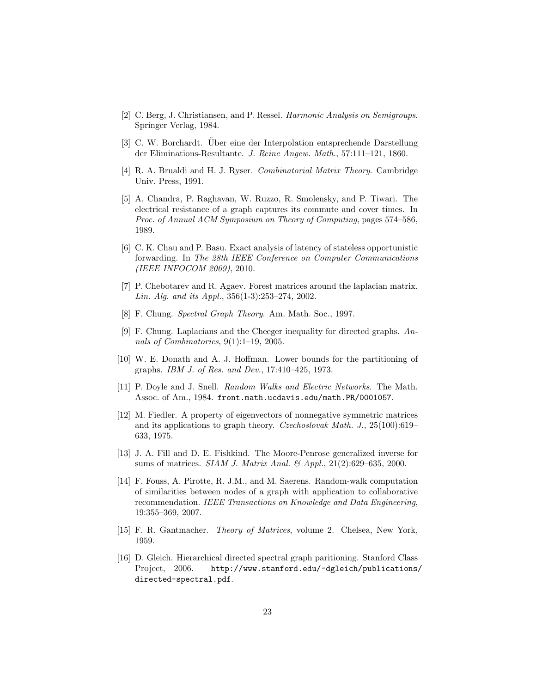- [2] C. Berg, J. Christiansen, and P. Ressel. Harmonic Analysis on Semigroups. Springer Verlag, 1984.
- [3] C. W. Borchardt. Über eine der Interpolation entsprechende Darstellung der Eliminations-Resultante. J. Reine Angew. Math., 57:111–121, 1860.
- [4] R. A. Brualdi and H. J. Ryser. Combinatorial Matrix Theory. Cambridge Univ. Press, 1991.
- [5] A. Chandra, P. Raghavan, W. Ruzzo, R. Smolensky, and P. Tiwari. The electrical resistance of a graph captures its commute and cover times. In Proc. of Annual ACM Symposium on Theory of Computing, pages 574–586, 1989.
- [6] C. K. Chau and P. Basu. Exact analysis of latency of stateless opportunistic forwarding. In The 28th IEEE Conference on Computer Communications (IEEE INFOCOM 2009), 2010.
- [7] P. Chebotarev and R. Agaev. Forest matrices around the laplacian matrix. Lin. Alg. and its Appl., 356(1-3):253–274, 2002.
- [8] F. Chung. Spectral Graph Theory. Am. Math. Soc., 1997.
- [9] F. Chung. Laplacians and the Cheeger inequality for directed graphs. Annals of Combinatorics, 9(1):1–19, 2005.
- [10] W. E. Donath and A. J. Hoffman. Lower bounds for the partitioning of graphs. IBM J. of Res. and Dev., 17:410–425, 1973.
- [11] P. Doyle and J. Snell. Random Walks and Electric Networks. The Math. Assoc. of Am., 1984. front.math.ucdavis.edu/math.PR/0001057.
- [12] M. Fiedler. A property of eigenvectors of nonnegative symmetric matrices and its applications to graph theory. Czechoslovak Math. J., 25(100):619– 633, 1975.
- [13] J. A. Fill and D. E. Fishkind. The Moore-Penrose generalized inverse for sums of matrices. *SIAM J. Matrix Anal.* &  $Appl., 21(2):629-635, 2000$ .
- [14] F. Fouss, A. Pirotte, R. J.M., and M. Saerens. Random-walk computation of similarities between nodes of a graph with application to collaborative recommendation. IEEE Transactions on Knowledge and Data Engineering, 19:355–369, 2007.
- [15] F. R. Gantmacher. Theory of Matrices, volume 2. Chelsea, New York, 1959.
- [16] D. Gleich. Hierarchical directed spectral graph paritioning. Stanford Class Project, 2006. http://www.stanford.edu/~dgleich/publications/ directed-spectral.pdf.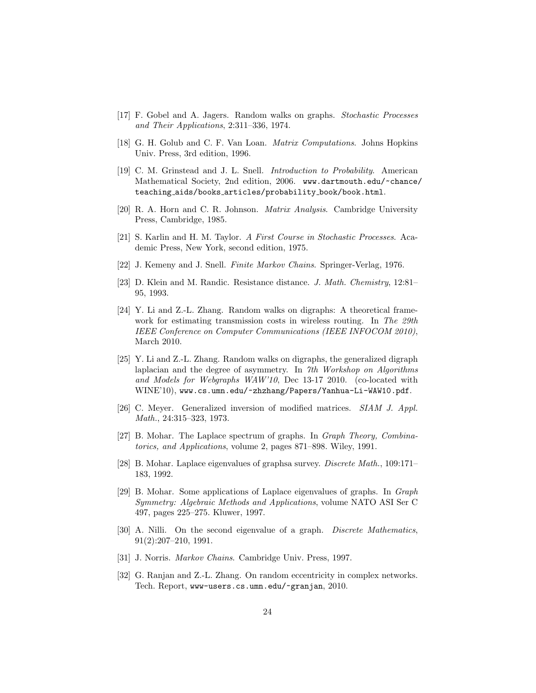- [17] F. Gobel and A. Jagers. Random walks on graphs. Stochastic Processes and Their Applications, 2:311–336, 1974.
- [18] G. H. Golub and C. F. Van Loan. Matrix Computations. Johns Hopkins Univ. Press, 3rd edition, 1996.
- [19] C. M. Grinstead and J. L. Snell. Introduction to Probability. American Mathematical Society, 2nd edition, 2006. www.dartmouth.edu/~chance/ teaching aids/books articles/probability book/book.html.
- [20] R. A. Horn and C. R. Johnson. Matrix Analysis. Cambridge University Press, Cambridge, 1985.
- [21] S. Karlin and H. M. Taylor. A First Course in Stochastic Processes. Academic Press, New York, second edition, 1975.
- [22] J. Kemeny and J. Snell. Finite Markov Chains. Springer-Verlag, 1976.
- [23] D. Klein and M. Randic. Resistance distance. J. Math. Chemistry, 12:81– 95, 1993.
- [24] Y. Li and Z.-L. Zhang. Random walks on digraphs: A theoretical framework for estimating transmission costs in wireless routing. In The 29th IEEE Conference on Computer Communications (IEEE INFOCOM 2010), March 2010.
- [25] Y. Li and Z.-L. Zhang. Random walks on digraphs, the generalized digraph laplacian and the degree of asymmetry. In 7th Workshop on Algorithms and Models for Webgraphs WAW'10, Dec 13-17 2010. (co-located with WINE'10), www.cs.umn.edu/~zhzhang/Papers/Yanhua-Li-WAW10.pdf.
- [26] C. Meyer. Generalized inversion of modified matrices. SIAM J. Appl. Math., 24:315–323, 1973.
- [27] B. Mohar. The Laplace spectrum of graphs. In Graph Theory, Combinatorics, and Applications, volume 2, pages 871–898. Wiley, 1991.
- [28] B. Mohar. Laplace eigenvalues of graphsa survey. Discrete Math., 109:171– 183, 1992.
- [29] B. Mohar. Some applications of Laplace eigenvalues of graphs. In Graph Symmetry: Algebraic Methods and Applications, volume NATO ASI Ser C 497, pages 225–275. Kluwer, 1997.
- [30] A. Nilli. On the second eigenvalue of a graph. Discrete Mathematics, 91(2):207–210, 1991.
- [31] J. Norris. Markov Chains. Cambridge Univ. Press, 1997.
- [32] G. Ranjan and Z.-L. Zhang. On random eccentricity in complex networks. Tech. Report, www-users.cs.umn.edu/~granjan, 2010.